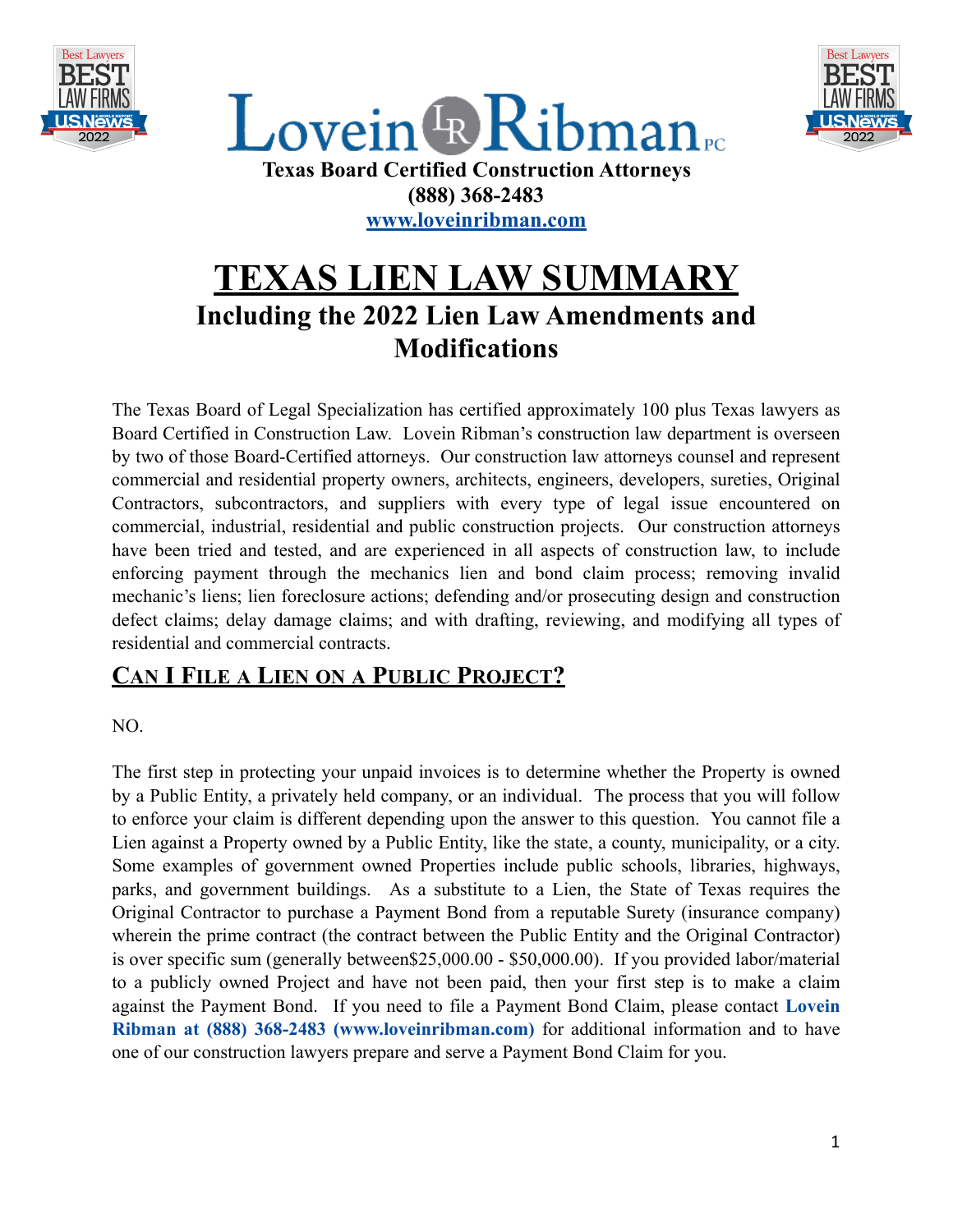



 $L$ ovein  $\scriptstyle\rm I\!\!\!R$  Ribman **Texas Board Certified Construction Attorneys (888) 368-2483 [www.loveinribman.com](http://www.loveinribman.com)**

# **TEXAS LIEN LAW SUMMARY Including the 2022 Lien Law Amendments and Modifications**

The Texas Board of Legal Specialization has certified approximately 100 plus Texas lawyers as Board Certified in Construction Law. Lovein Ribman's construction law department is overseen by two of those Board-Certified attorneys. Our construction law attorneys counsel and represent commercial and residential property owners, architects, engineers, developers, sureties, Original Contractors, subcontractors, and suppliers with every type of legal issue encountered on commercial, industrial, residential and public construction projects. Our construction attorneys have been tried and tested, and are experienced in all aspects of construction law, to include enforcing payment through the mechanics lien and bond claim process; removing invalid mechanic's liens; lien foreclosure actions; defending and/or prosecuting design and construction defect claims; delay damage claims; and with drafting, reviewing, and modifying all types of residential and commercial contracts.

#### **CAN I FILE A LIEN ON A PUBLIC PROJECT?**

NO.

The first step in protecting your unpaid invoices is to determine whether the Property is owned by a Public Entity, a privately held company, or an individual. The process that you will follow to enforce your claim is different depending upon the answer to this question. You cannot file a Lien against a Property owned by a Public Entity, like the state, a county, municipality, or a city. Some examples of government owned Properties include public schools, libraries, highways, parks, and government buildings. As a substitute to a Lien, the State of Texas requires the Original Contractor to purchase a Payment Bond from a reputable Surety (insurance company) wherein the prime contract (the contract between the Public Entity and the Original Contractor) is over specific sum (generally between\$25,000.00 - \$50,000.00). If you provided labor/material to a publicly owned Project and have not been paid, then your first step is to make a claim against the Payment Bond. If you need to file a Payment Bond Claim, please contact **Lovein Ribman at (888) 368-2483 (www.loveinribman.com)** for additional information and to have one of our construction lawyers prepare and serve a Payment Bond Claim for you.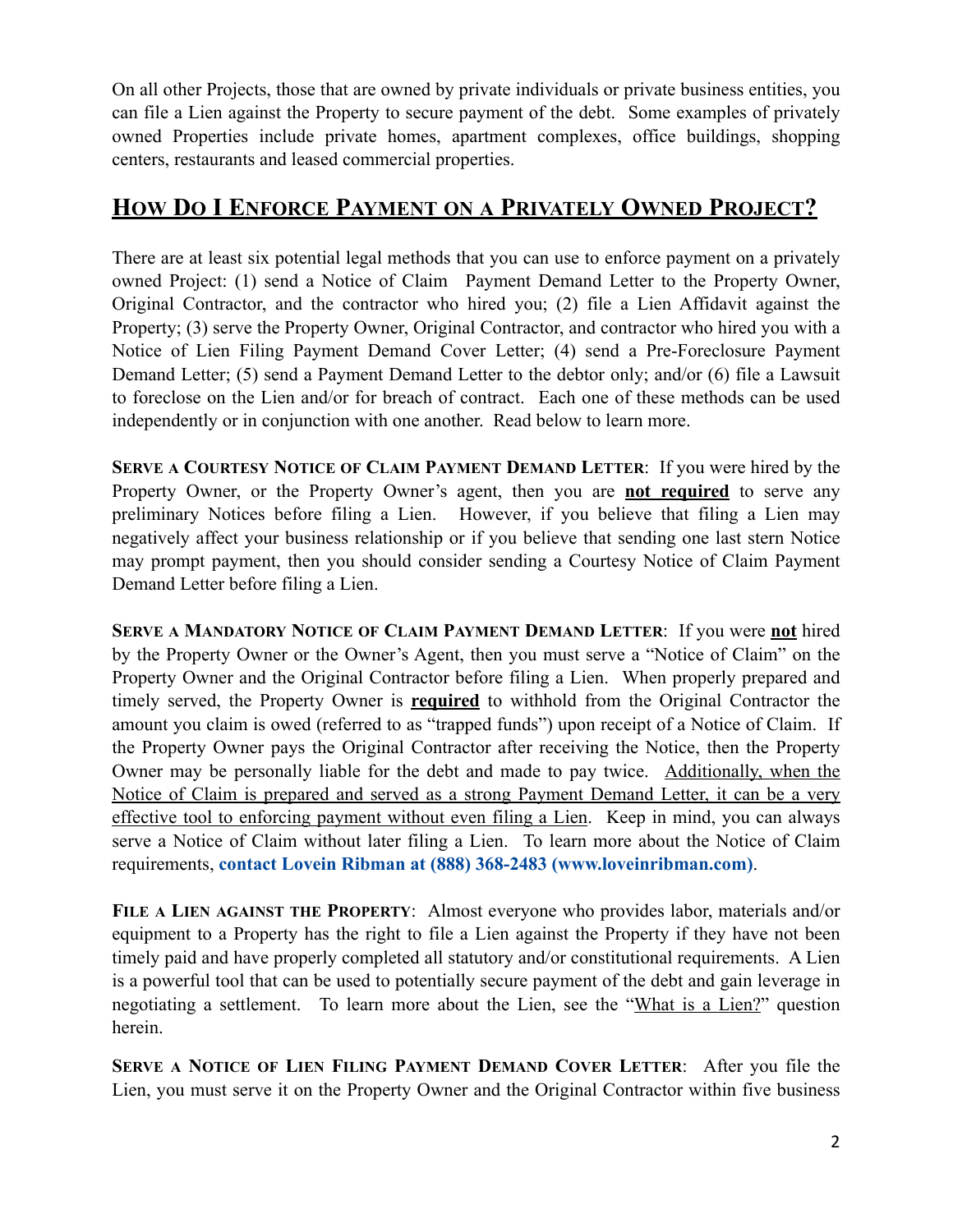On all other Projects, those that are owned by private individuals or private business entities, you can file a Lien against the Property to secure payment of the debt. Some examples of privately owned Properties include private homes, apartment complexes, office buildings, shopping centers, restaurants and leased commercial properties.

#### **HOW DO I ENFORCE PAYMENT ON A PRIVATELY OWNED PROJECT?**

There are at least six potential legal methods that you can use to enforce payment on a privately owned Project: (1) send a Notice of Claim Payment Demand Letter to the Property Owner, Original Contractor, and the contractor who hired you; (2) file a Lien Affidavit against the Property; (3) serve the Property Owner, Original Contractor, and contractor who hired you with a Notice of Lien Filing Payment Demand Cover Letter; (4) send a Pre-Foreclosure Payment Demand Letter; (5) send a Payment Demand Letter to the debtor only; and/or (6) file a Lawsuit to foreclose on the Lien and/or for breach of contract. Each one of these methods can be used independently or in conjunction with one another. Read below to learn more.

**SERVE A COURTESY NOTICE OF CLAIM PAYMENT DEMAND LETTER**: If you were hired by the Property Owner, or the Property Owner's agent, then you are **not required** to serve any preliminary Notices before filing a Lien. However, if you believe that filing a Lien may negatively affect your business relationship or if you believe that sending one last stern Notice may prompt payment, then you should consider sending a Courtesy Notice of Claim Payment Demand Letter before filing a Lien.

**SERVE A MANDATORY NOTICE OF CLAIM PAYMENT DEMAND LETTER**: If you were **not** hired by the Property Owner or the Owner's Agent, then you must serve a "Notice of Claim" on the Property Owner and the Original Contractor before filing a Lien. When properly prepared and timely served, the Property Owner is **required** to withhold from the Original Contractor the amount you claim is owed (referred to as "trapped funds") upon receipt of a Notice of Claim. If the Property Owner pays the Original Contractor after receiving the Notice, then the Property Owner may be personally liable for the debt and made to pay twice. Additionally, when the Notice of Claim is prepared and served as a strong Payment Demand Letter, it can be a very effective tool to enforcing payment without even filing a Lien. Keep in mind, you can always serve a Notice of Claim without later filing a Lien. To learn more about the Notice of Claim requirements, **contact Lovein Ribman at (888) 368-2483 (www.loveinribman.com)**.

**FILE A LIEN AGAINST THE PROPERTY**: Almost everyone who provides labor, materials and/or equipment to a Property has the right to file a Lien against the Property if they have not been timely paid and have properly completed all statutory and/or constitutional requirements. A Lien is a powerful tool that can be used to potentially secure payment of the debt and gain leverage in negotiating a settlement. To learn more about the Lien, see the "What is a Lien?" question herein.

**SERVE A NOTICE OF LIEN FILING PAYMENT DEMAND COVER LETTER**: After you file the Lien, you must serve it on the Property Owner and the Original Contractor within five business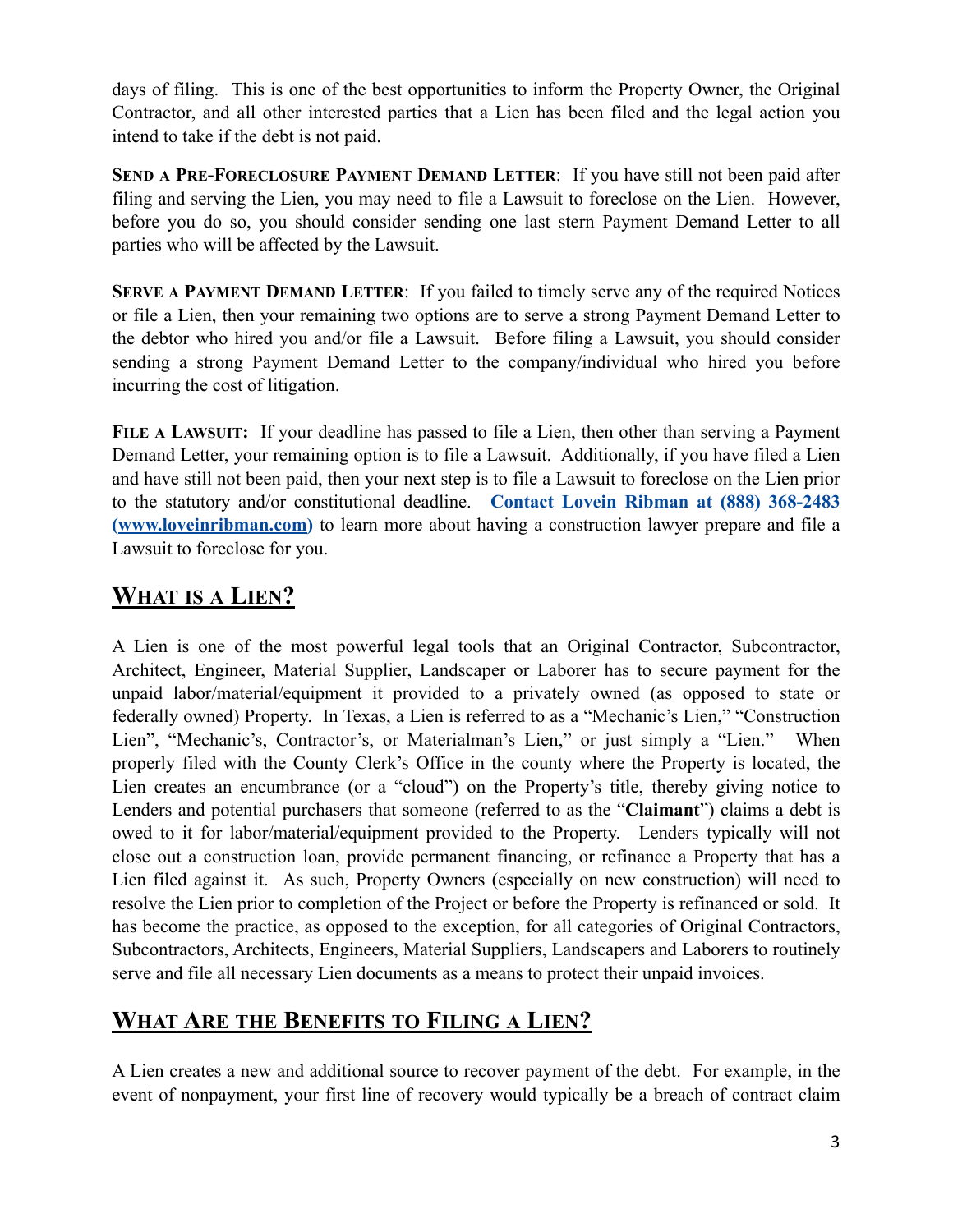days of filing. This is one of the best opportunities to inform the Property Owner, the Original Contractor, and all other interested parties that a Lien has been filed and the legal action you intend to take if the debt is not paid.

**SEND A PRE-FORECLOSURE PAYMENT DEMAND LETTER**: If you have still not been paid after filing and serving the Lien, you may need to file a Lawsuit to foreclose on the Lien. However, before you do so, you should consider sending one last stern Payment Demand Letter to all parties who will be affected by the Lawsuit.

**SERVE A PAYMENT DEMAND LETTER**: If you failed to timely serve any of the required Notices or file a Lien, then your remaining two options are to serve a strong Payment Demand Letter to the debtor who hired you and/or file a Lawsuit. Before filing a Lawsuit, you should consider sending a strong Payment Demand Letter to the company/individual who hired you before incurring the cost of litigation.

**FILE A LAWSUIT:** If your deadline has passed to file a Lien, then other than serving a Payment Demand Letter, your remaining option is to file a Lawsuit. Additionally, if you have filed a Lien and have still not been paid, then your next step is to file a Lawsuit to foreclose on the Lien prior to the statutory and/or constitutional deadline. **Contact Lovein Ribman at (888) 368-2483 ([www.loveinribman.com](http://www.loveinribman.com))** to learn more about having a construction lawyer prepare and file a Lawsuit to foreclose for you.

### **WHAT IS A LIEN?**

A Lien is one of the most powerful legal tools that an Original Contractor, Subcontractor, Architect, Engineer, Material Supplier, Landscaper or Laborer has to secure payment for the unpaid labor/material/equipment it provided to a privately owned (as opposed to state or federally owned) Property. In Texas, a Lien is referred to as a "Mechanic's Lien," "Construction Lien", "Mechanic's, Contractor's, or Materialman's Lien," or just simply a "Lien." When properly filed with the County Clerk's Office in the county where the Property is located, the Lien creates an encumbrance (or a "cloud") on the Property's title, thereby giving notice to Lenders and potential purchasers that someone (referred to as the "**Claimant**") claims a debt is owed to it for labor/material/equipment provided to the Property. Lenders typically will not close out a construction loan, provide permanent financing, or refinance a Property that has a Lien filed against it. As such, Property Owners (especially on new construction) will need to resolve the Lien prior to completion of the Project or before the Property is refinanced or sold. It has become the practice, as opposed to the exception, for all categories of Original Contractors, Subcontractors, Architects, Engineers, Material Suppliers, Landscapers and Laborers to routinely serve and file all necessary Lien documents as a means to protect their unpaid invoices.

### **WHAT ARE THE BENEFITS TO FILING A LIEN?**

A Lien creates a new and additional source to recover payment of the debt. For example, in the event of nonpayment, your first line of recovery would typically be a breach of contract claim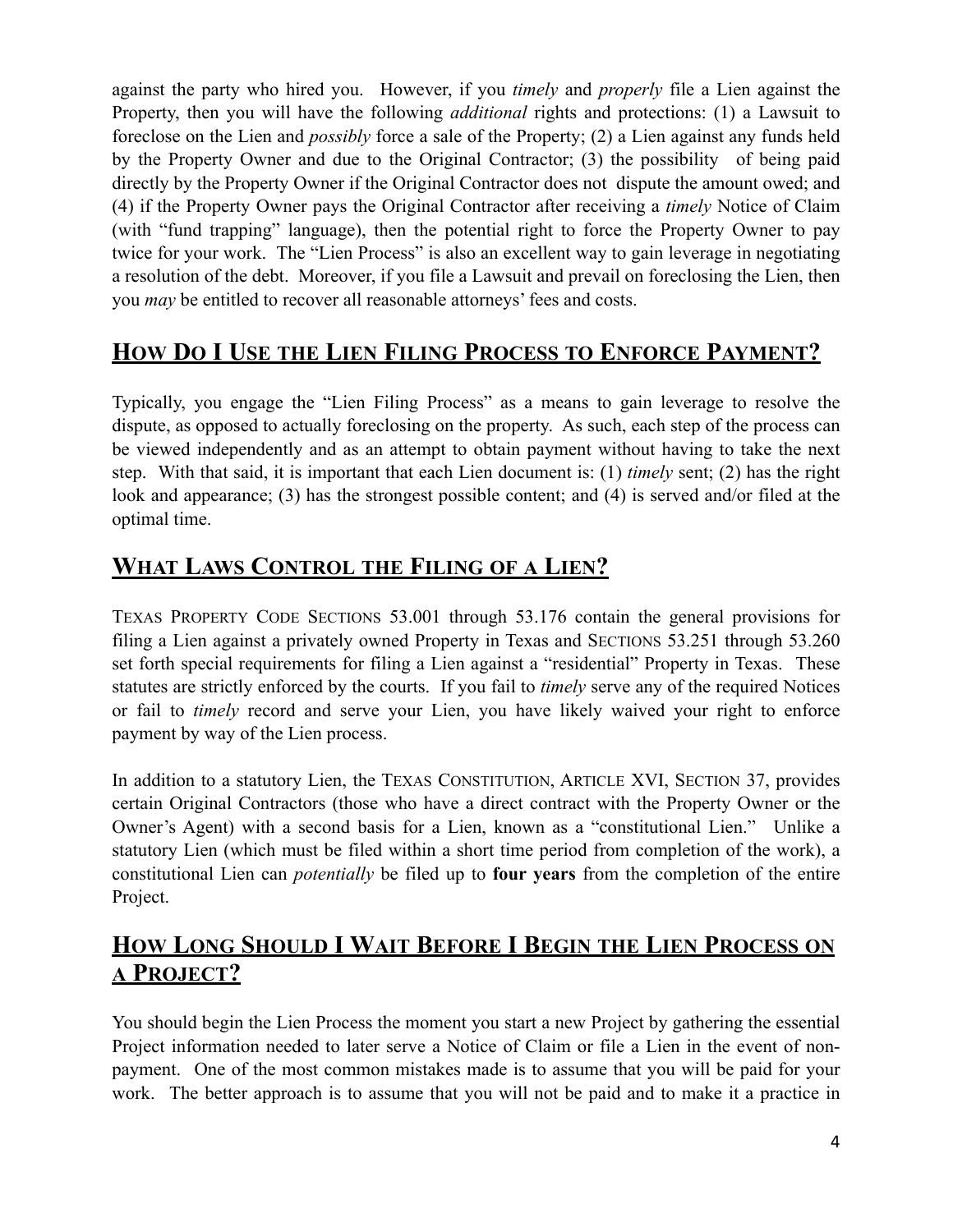against the party who hired you. However, if you *timely* and *properly* file a Lien against the Property, then you will have the following *additional* rights and protections: (1) a Lawsuit to foreclose on the Lien and *possibly* force a sale of the Property; (2) a Lien against any funds held by the Property Owner and due to the Original Contractor; (3) the possibility of being paid directly by the Property Owner if the Original Contractor does not dispute the amount owed; and (4) if the Property Owner pays the Original Contractor after receiving a *timely* Notice of Claim (with "fund trapping" language), then the potential right to force the Property Owner to pay twice for your work. The "Lien Process" is also an excellent way to gain leverage in negotiating a resolution of the debt. Moreover, if you file a Lawsuit and prevail on foreclosing the Lien, then you *may* be entitled to recover all reasonable attorneys' fees and costs.

## **HOW DO I USE THE LIEN FILING PROCESS TO ENFORCE PAYMENT?**

Typically, you engage the "Lien Filing Process" as a means to gain leverage to resolve the dispute, as opposed to actually foreclosing on the property. As such, each step of the process can be viewed independently and as an attempt to obtain payment without having to take the next step. With that said, it is important that each Lien document is: (1) *timely* sent; (2) has the right look and appearance; (3) has the strongest possible content; and (4) is served and/or filed at the optimal time.

#### **WHAT LAWS CONTROL THE FILING OF A LIEN?**

TEXAS PROPERTY CODE SECTIONS 53.001 through 53.176 contain the general provisions for filing a Lien against a privately owned Property in Texas and SECTIONS 53.251 through 53.260 set forth special requirements for filing a Lien against a "residential" Property in Texas. These statutes are strictly enforced by the courts. If you fail to *timely* serve any of the required Notices or fail to *timely* record and serve your Lien, you have likely waived your right to enforce payment by way of the Lien process.

In addition to a statutory Lien, the TEXAS CONSTITUTION, ARTICLE XVI, SECTION 37, provides certain Original Contractors (those who have a direct contract with the Property Owner or the Owner's Agent) with a second basis for a Lien, known as a "constitutional Lien." Unlike a statutory Lien (which must be filed within a short time period from completion of the work), a constitutional Lien can *potentially* be filed up to **four years** from the completion of the entire Project.

### **HOW LONG SHOULD I WAIT BEFORE I BEGIN THE LIEN PROCESS ON A PROJECT?**

You should begin the Lien Process the moment you start a new Project by gathering the essential Project information needed to later serve a Notice of Claim or file a Lien in the event of nonpayment. One of the most common mistakes made is to assume that you will be paid for your work. The better approach is to assume that you will not be paid and to make it a practice in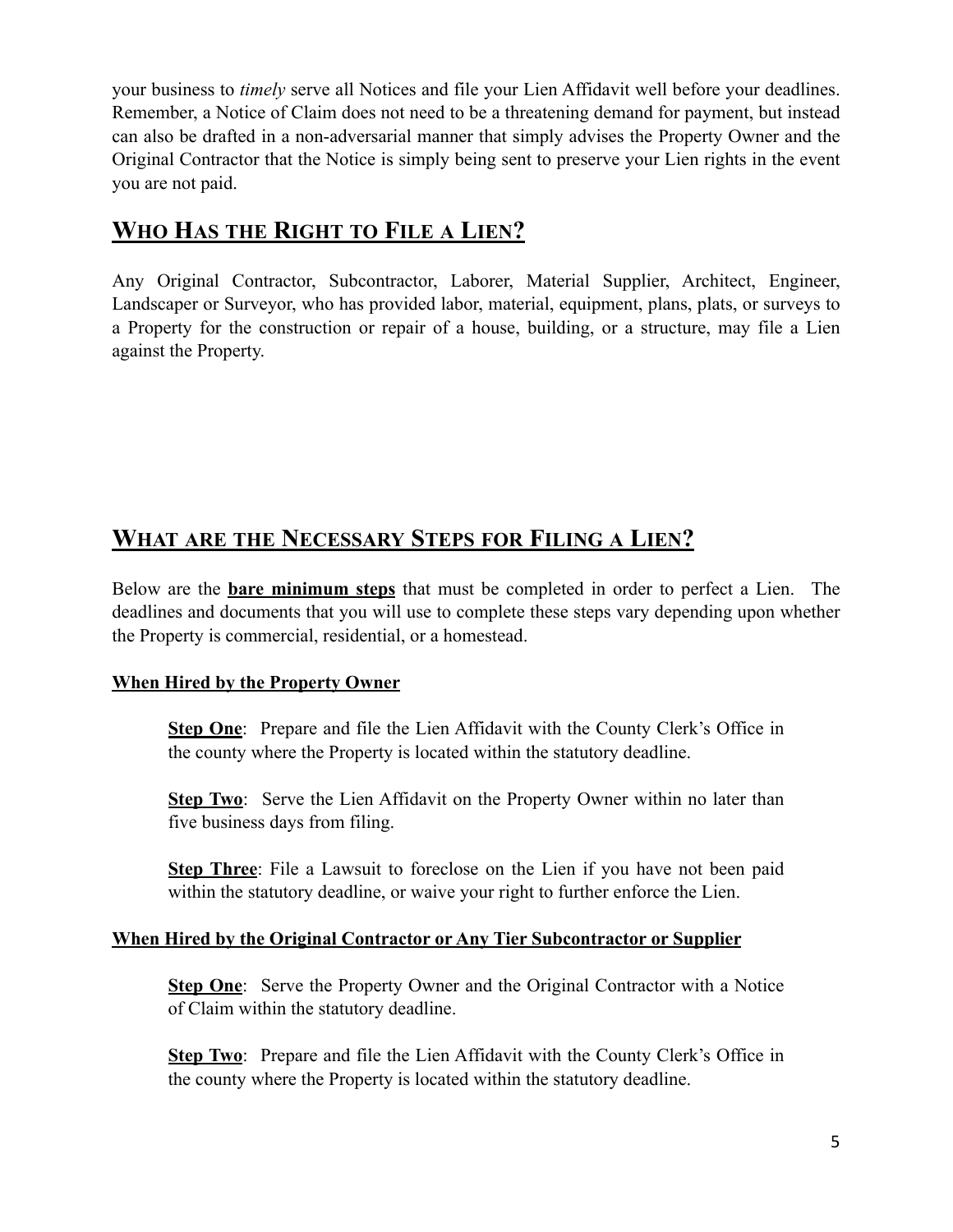your business to *timely* serve all Notices and file your Lien Affidavit well before your deadlines. Remember, a Notice of Claim does not need to be a threatening demand for payment, but instead can also be drafted in a non-adversarial manner that simply advises the Property Owner and the Original Contractor that the Notice is simply being sent to preserve your Lien rights in the event you are not paid.

#### **WHO HAS THE RIGHT TO FILE A LIEN?**

Any Original Contractor, Subcontractor, Laborer, Material Supplier, Architect, Engineer, Landscaper or Surveyor, who has provided labor, material, equipment, plans, plats, or surveys to a Property for the construction or repair of a house, building, or a structure, may file a Lien against the Property.

#### **WHAT ARE THE NECESSARY STEPS FOR FILING A LIEN?**

Below are the **bare minimum steps** that must be completed in order to perfect a Lien. The deadlines and documents that you will use to complete these steps vary depending upon whether the Property is commercial, residential, or a homestead.

#### **When Hired by the Property Owner**

**Step One**: Prepare and file the Lien Affidavit with the County Clerk's Office in the county where the Property is located within the statutory deadline.

**Step Two**: Serve the Lien Affidavit on the Property Owner within no later than five business days from filing.

**Step Three**: File a Lawsuit to foreclose on the Lien if you have not been paid within the statutory deadline, or waive your right to further enforce the Lien.

#### **When Hired by the Original Contractor or Any Tier Subcontractor or Supplier**

**Step One**: Serve the Property Owner and the Original Contractor with a Notice of Claim within the statutory deadline.

**Step Two**: Prepare and file the Lien Affidavit with the County Clerk's Office in the county where the Property is located within the statutory deadline.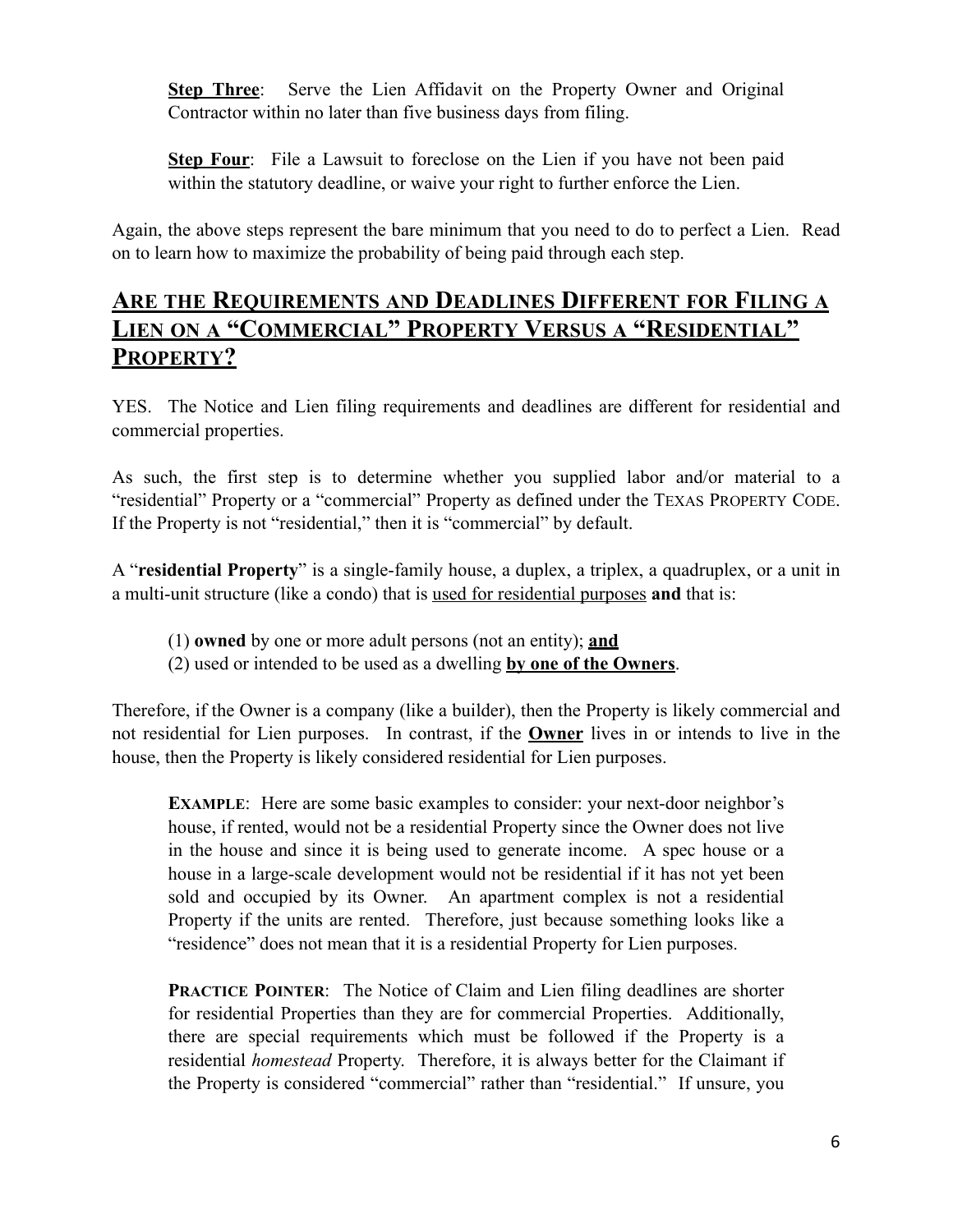**Step Three**: Serve the Lien Affidavit on the Property Owner and Original Contractor within no later than five business days from filing.

**Step Four**: File a Lawsuit to foreclose on the Lien if you have not been paid within the statutory deadline, or waive your right to further enforce the Lien.

Again, the above steps represent the bare minimum that you need to do to perfect a Lien. Read on to learn how to maximize the probability of being paid through each step.

#### **ARE THE REQUIREMENTS AND DEADLINES DIFFERENT FOR FILING A LIEN ON A "COMMERCIAL" PROPERTY VERSUS A "RESIDENTIAL" PROPERTY?**

YES. The Notice and Lien filing requirements and deadlines are different for residential and commercial properties.

As such, the first step is to determine whether you supplied labor and/or material to a "residential" Property or a "commercial" Property as defined under the TEXAS PROPERTY CODE. If the Property is not "residential," then it is "commercial" by default.

A "**residential Property**" is a single-family house, a duplex, a triplex, a quadruplex, or a unit in a multi-unit structure (like a condo) that is used for residential purposes **and** that is:

- (1) **owned** by one or more adult persons (not an entity); **and**
- (2) used or intended to be used as a dwelling **by one of the Owners**.

Therefore, if the Owner is a company (like a builder), then the Property is likely commercial and not residential for Lien purposes. In contrast, if the **Owner** lives in or intends to live in the house, then the Property is likely considered residential for Lien purposes.

**EXAMPLE**: Here are some basic examples to consider: your next-door neighbor's house, if rented, would not be a residential Property since the Owner does not live in the house and since it is being used to generate income. A spec house or a house in a large-scale development would not be residential if it has not yet been sold and occupied by its Owner. An apartment complex is not a residential Property if the units are rented. Therefore, just because something looks like a "residence" does not mean that it is a residential Property for Lien purposes.

**PRACTICE POINTER:** The Notice of Claim and Lien filing deadlines are shorter for residential Properties than they are for commercial Properties. Additionally, there are special requirements which must be followed if the Property is a residential *homestead* Property. Therefore, it is always better for the Claimant if the Property is considered "commercial" rather than "residential." If unsure, you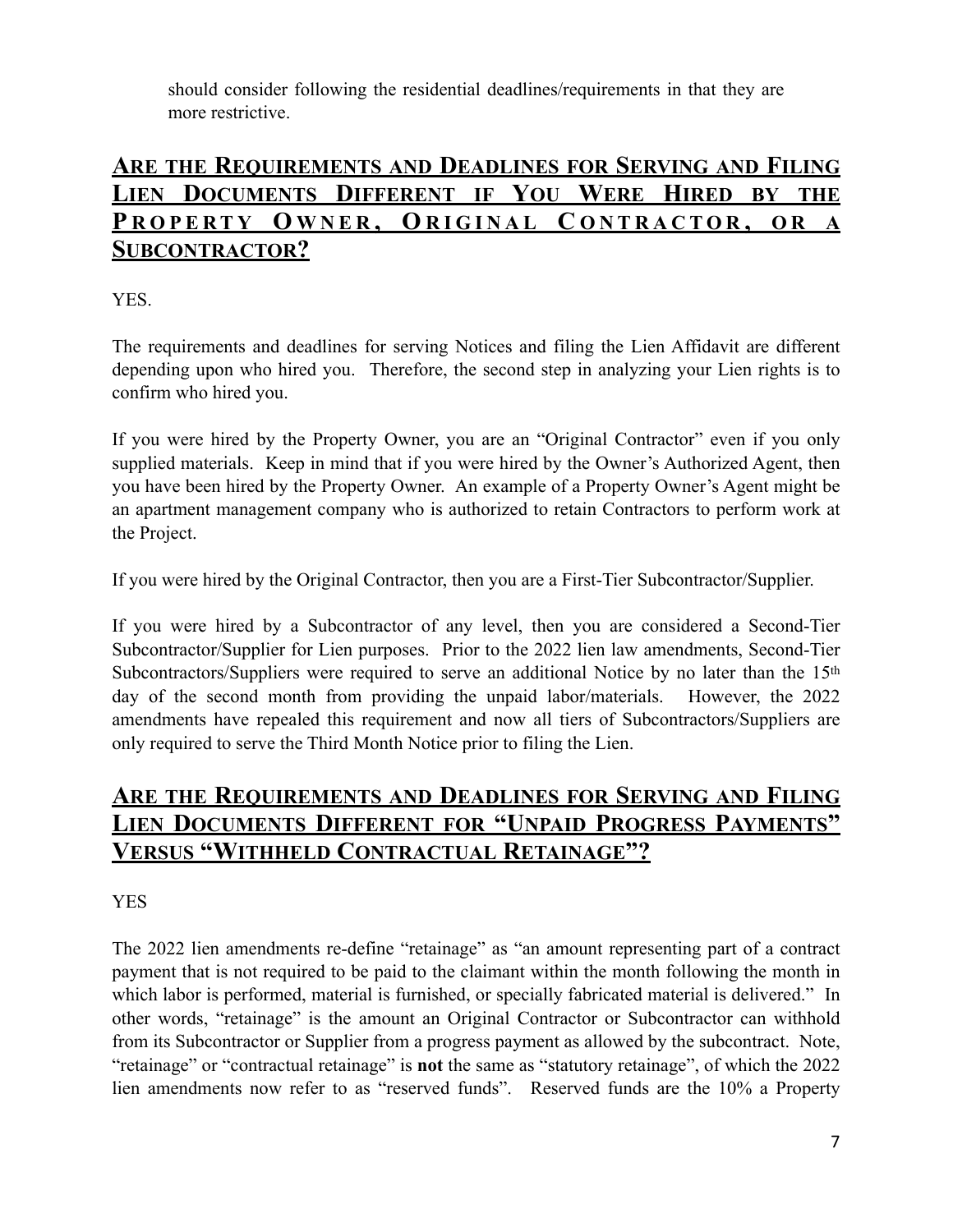should consider following the residential deadlines/requirements in that they are more restrictive.

#### **ARE THE REQUIREMENTS AND DEADLINES FOR SERVING AND FILING LIEN DOCUMENTS DIFFERENT IF YOU WERE HIRED BY THE P ROPERTY O WNER , O RIGINAL C ONTRACTOR , O R A SUBCONTRACTOR?**

YES.

The requirements and deadlines for serving Notices and filing the Lien Affidavit are different depending upon who hired you. Therefore, the second step in analyzing your Lien rights is to confirm who hired you.

If you were hired by the Property Owner, you are an "Original Contractor" even if you only supplied materials. Keep in mind that if you were hired by the Owner's Authorized Agent, then you have been hired by the Property Owner. An example of a Property Owner's Agent might be an apartment management company who is authorized to retain Contractors to perform work at the Project.

If you were hired by the Original Contractor, then you are a First-Tier Subcontractor/Supplier.

If you were hired by a Subcontractor of any level, then you are considered a Second-Tier Subcontractor/Supplier for Lien purposes. Prior to the 2022 lien law amendments, Second-Tier Subcontractors/Suppliers were required to serve an additional Notice by no later than the 15<sup>th</sup> day of the second month from providing the unpaid labor/materials. However, the 2022 amendments have repealed this requirement and now all tiers of Subcontractors/Suppliers are only required to serve the Third Month Notice prior to filing the Lien.

#### **ARE THE REQUIREMENTS AND DEADLINES FOR SERVING AND FILING LIEN DOCUMENTS DIFFERENT FOR "UNPAID PROGRESS PAYMENTS" VERSUS "WITHHELD CONTRACTUAL RETAINAGE"?**

YES

The 2022 lien amendments re-define "retainage" as "an amount representing part of a contract payment that is not required to be paid to the claimant within the month following the month in which labor is performed, material is furnished, or specially fabricated material is delivered." In other words, "retainage" is the amount an Original Contractor or Subcontractor can withhold from its Subcontractor or Supplier from a progress payment as allowed by the subcontract. Note, "retainage" or "contractual retainage" is **not** the same as "statutory retainage", of which the 2022 lien amendments now refer to as "reserved funds". Reserved funds are the 10% a Property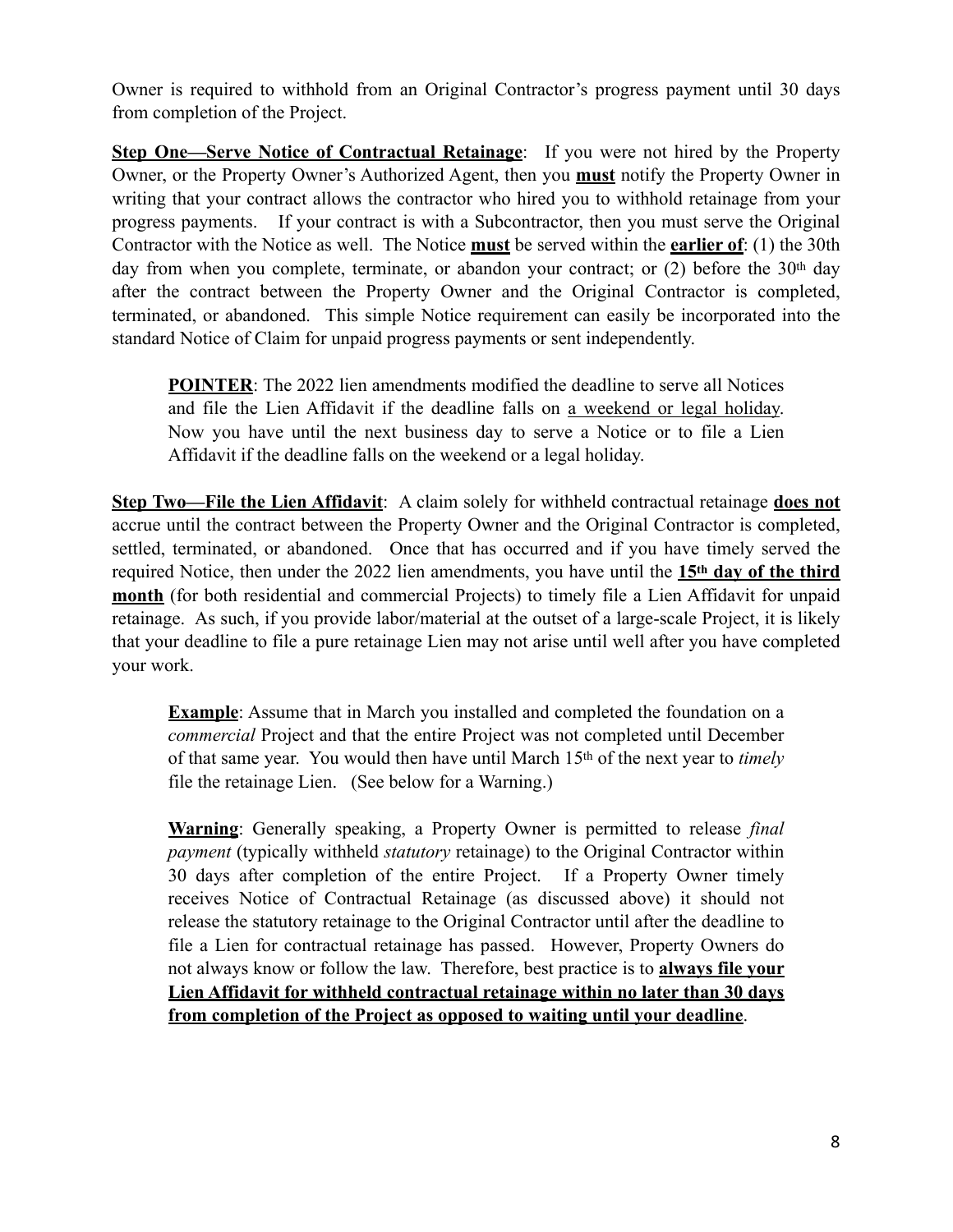Owner is required to withhold from an Original Contractor's progress payment until 30 days from completion of the Project.

**Step One—Serve Notice of Contractual Retainage:** If you were not hired by the Property Owner, or the Property Owner's Authorized Agent, then you **must** notify the Property Owner in writing that your contract allows the contractor who hired you to withhold retainage from your progress payments. If your contract is with a Subcontractor, then you must serve the Original Contractor with the Notice as well. The Notice **must** be served within the **earlier of**: (1) the 30th day from when you complete, terminate, or abandon your contract; or  $(2)$  before the 30<sup>th</sup> day after the contract between the Property Owner and the Original Contractor is completed, terminated, or abandoned. This simple Notice requirement can easily be incorporated into the standard Notice of Claim for unpaid progress payments or sent independently.

**POINTER:** The 2022 lien amendments modified the deadline to serve all Notices and file the Lien Affidavit if the deadline falls on a weekend or legal holiday. Now you have until the next business day to serve a Notice or to file a Lien Affidavit if the deadline falls on the weekend or a legal holiday.

**Step Two—File the Lien Affidavit**: A claim solely for withheld contractual retainage **does not** accrue until the contract between the Property Owner and the Original Contractor is completed, settled, terminated, or abandoned. Once that has occurred and if you have timely served the required Notice, then under the 2022 lien amendments, you have until the **15th day of the third month** (for both residential and commercial Projects) to timely file a Lien Affidavit for unpaid retainage. As such, if you provide labor/material at the outset of a large-scale Project, it is likely that your deadline to file a pure retainage Lien may not arise until well after you have completed your work.

**Example**: Assume that in March you installed and completed the foundation on a *commercial* Project and that the entire Project was not completed until December of that same year. You would then have until March 15th of the next year to *timely*  file the retainage Lien. (See below for a Warning.)

**Warning**: Generally speaking, a Property Owner is permitted to release *final payment* (typically withheld *statutory* retainage) to the Original Contractor within 30 days after completion of the entire Project. If a Property Owner timely receives Notice of Contractual Retainage (as discussed above) it should not release the statutory retainage to the Original Contractor until after the deadline to file a Lien for contractual retainage has passed. However, Property Owners do not always know or follow the law. Therefore, best practice is to **always file your Lien Affidavit for withheld contractual retainage within no later than 30 days from completion of the Project as opposed to waiting until your deadline**.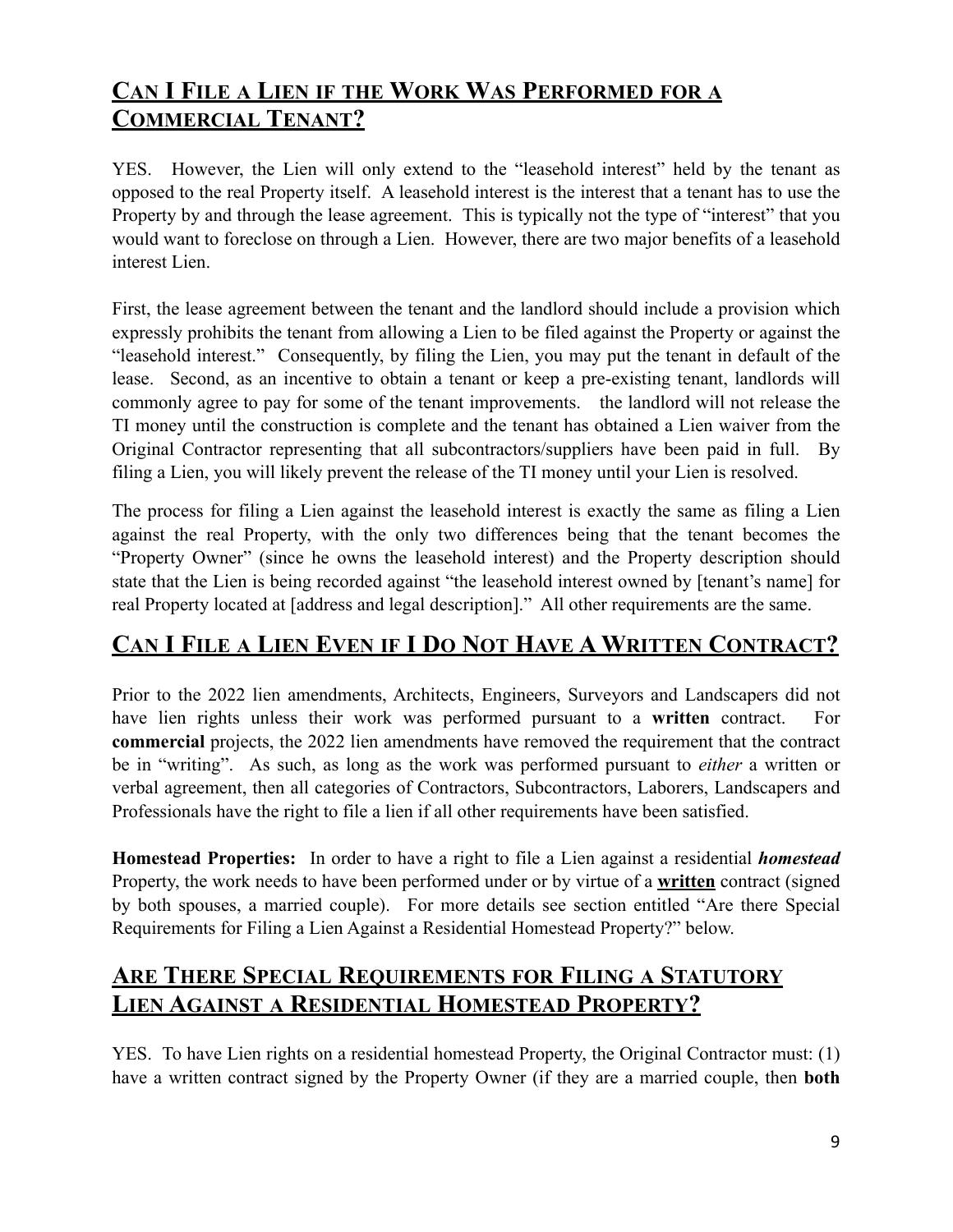### **CAN I FILE A LIEN IF THE WORK WAS PERFORMED FOR A COMMERCIAL TENANT?**

YES. However, the Lien will only extend to the "leasehold interest" held by the tenant as opposed to the real Property itself. A leasehold interest is the interest that a tenant has to use the Property by and through the lease agreement. This is typically not the type of "interest" that you would want to foreclose on through a Lien. However, there are two major benefits of a leasehold interest Lien.

First, the lease agreement between the tenant and the landlord should include a provision which expressly prohibits the tenant from allowing a Lien to be filed against the Property or against the "leasehold interest." Consequently, by filing the Lien, you may put the tenant in default of the lease. Second, as an incentive to obtain a tenant or keep a pre-existing tenant, landlords will commonly agree to pay for some of the tenant improvements. the landlord will not release the TI money until the construction is complete and the tenant has obtained a Lien waiver from the Original Contractor representing that all subcontractors/suppliers have been paid in full. By filing a Lien, you will likely prevent the release of the TI money until your Lien is resolved.

The process for filing a Lien against the leasehold interest is exactly the same as filing a Lien against the real Property, with the only two differences being that the tenant becomes the "Property Owner" (since he owns the leasehold interest) and the Property description should state that the Lien is being recorded against "the leasehold interest owned by [tenant's name] for real Property located at [address and legal description]." All other requirements are the same.

### **CAN I FILE A LIEN EVEN IF I DO NOT HAVE A WRITTEN CONTRACT?**

Prior to the 2022 lien amendments, Architects, Engineers, Surveyors and Landscapers did not have lien rights unless their work was performed pursuant to a **written** contract. For **commercial** projects, the 2022 lien amendments have removed the requirement that the contract be in "writing". As such, as long as the work was performed pursuant to *either* a written or verbal agreement, then all categories of Contractors, Subcontractors, Laborers, Landscapers and Professionals have the right to file a lien if all other requirements have been satisfied.

**Homestead Properties:** In order to have a right to file a Lien against a residential *homestead* Property, the work needs to have been performed under or by virtue of a **written** contract (signed by both spouses, a married couple). For more details see section entitled "Are there Special Requirements for Filing a Lien Against a Residential Homestead Property?" below.

#### **ARE THERE SPECIAL REQUIREMENTS FOR FILING A STATUTORY LIEN AGAINST A RESIDENTIAL HOMESTEAD PROPERTY?**

YES. To have Lien rights on a residential homestead Property, the Original Contractor must: (1) have a written contract signed by the Property Owner (if they are a married couple, then **both**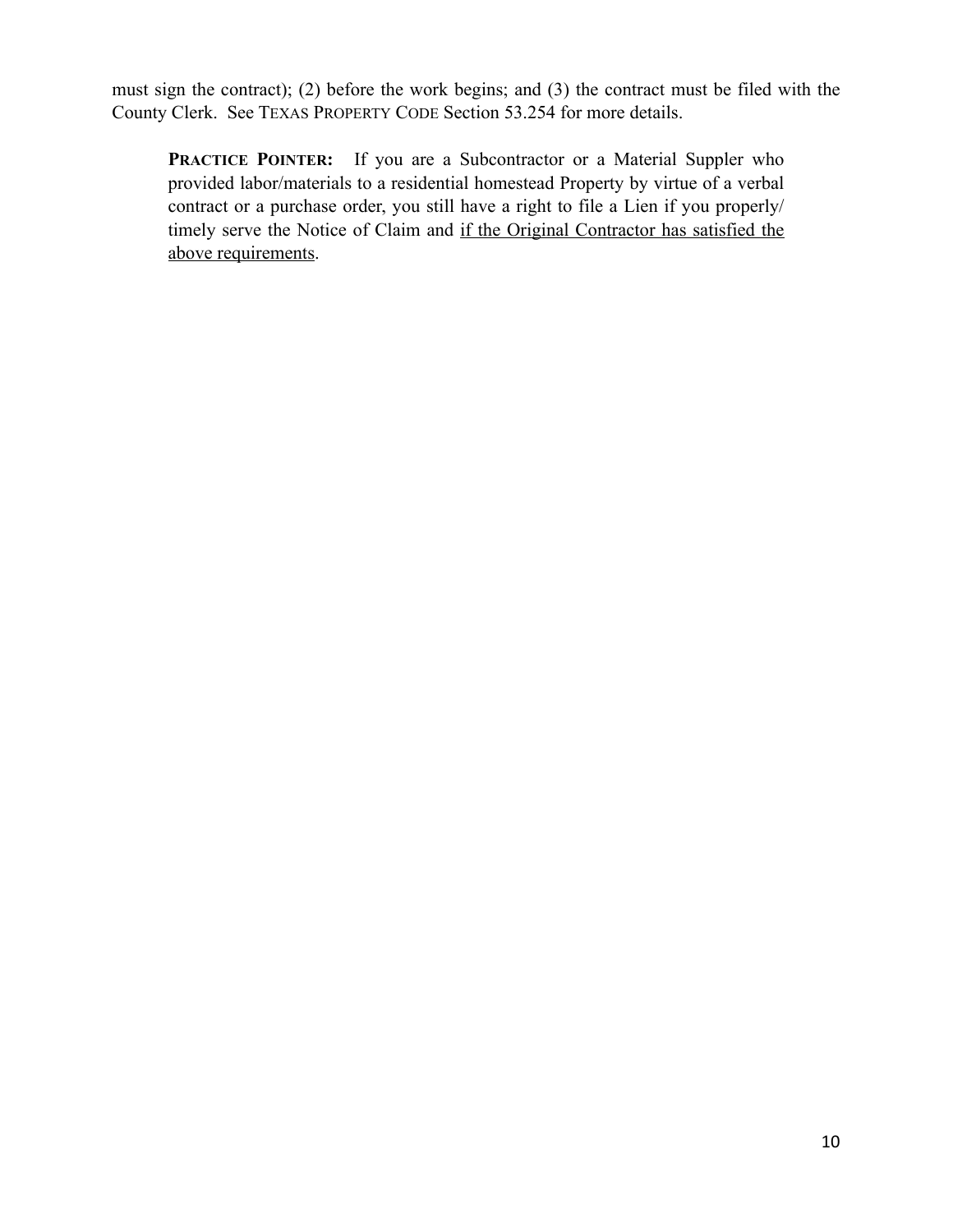must sign the contract); (2) before the work begins; and (3) the contract must be filed with the County Clerk. See TEXAS PROPERTY CODE Section 53.254 for more details.

**PRACTICE POINTER:** If you are a Subcontractor or a Material Suppler who provided labor/materials to a residential homestead Property by virtue of a verbal contract or a purchase order, you still have a right to file a Lien if you properly/ timely serve the Notice of Claim and if the Original Contractor has satisfied the above requirements.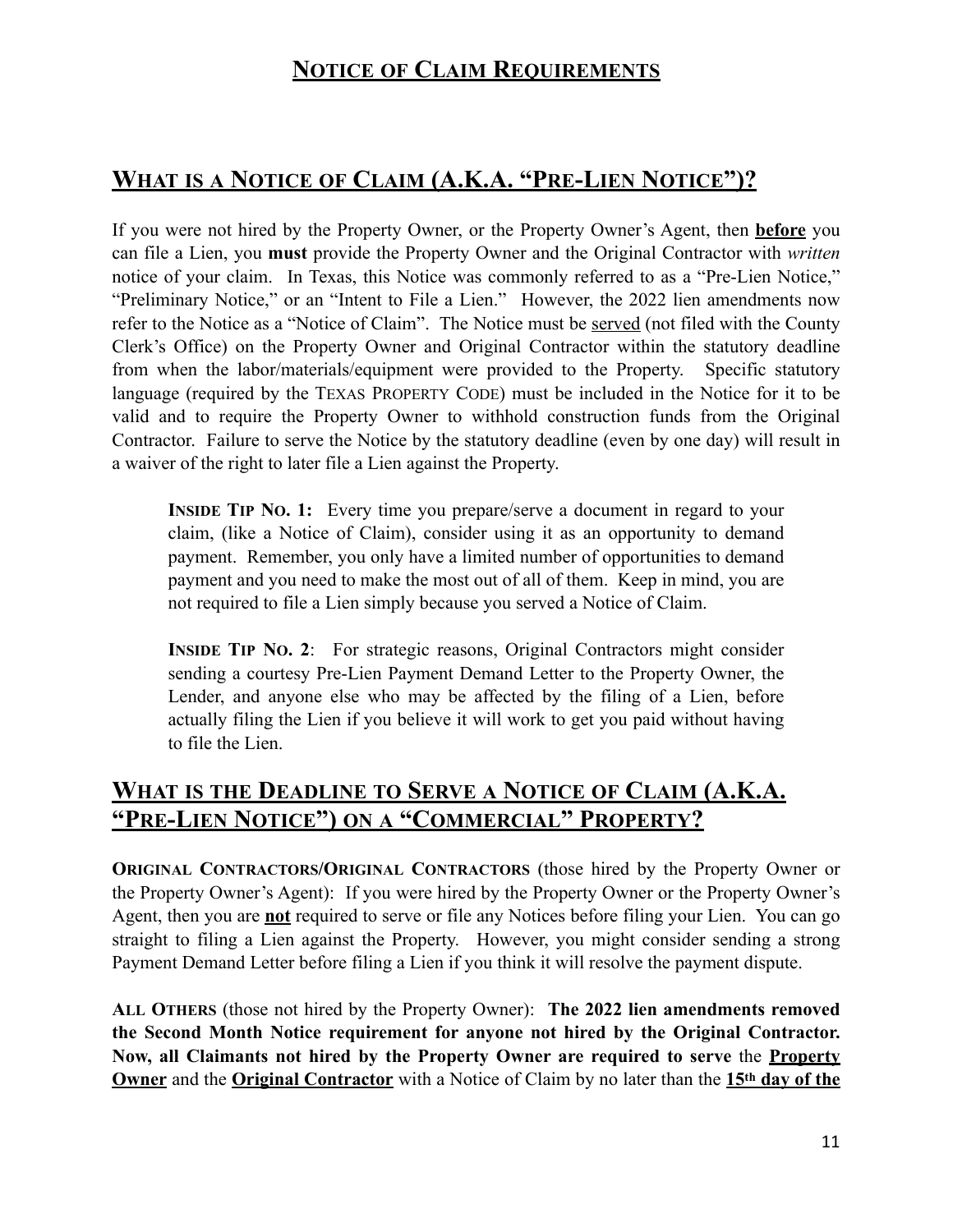### **WHAT IS A NOTICE OF CLAIM (A.K.A. "PRE-LIEN NOTICE")?**

If you were not hired by the Property Owner, or the Property Owner's Agent, then **before** you can file a Lien, you **must** provide the Property Owner and the Original Contractor with *written* notice of your claim. In Texas, this Notice was commonly referred to as a "Pre-Lien Notice," "Preliminary Notice," or an "Intent to File a Lien." However, the 2022 lien amendments now refer to the Notice as a "Notice of Claim". The Notice must be served (not filed with the County Clerk's Office) on the Property Owner and Original Contractor within the statutory deadline from when the labor/materials/equipment were provided to the Property. Specific statutory language (required by the TEXAS PROPERTY CODE) must be included in the Notice for it to be valid and to require the Property Owner to withhold construction funds from the Original Contractor. Failure to serve the Notice by the statutory deadline (even by one day) will result in a waiver of the right to later file a Lien against the Property.

**INSIDE TIP NO. 1:** Every time you prepare/serve a document in regard to your claim, (like a Notice of Claim), consider using it as an opportunity to demand payment. Remember, you only have a limited number of opportunities to demand payment and you need to make the most out of all of them. Keep in mind, you are not required to file a Lien simply because you served a Notice of Claim.

**INSIDE TIP NO. 2:** For strategic reasons, Original Contractors might consider sending a courtesy Pre-Lien Payment Demand Letter to the Property Owner, the Lender, and anyone else who may be affected by the filing of a Lien, before actually filing the Lien if you believe it will work to get you paid without having to file the Lien.

#### **WHAT IS THE DEADLINE TO SERVE A NOTICE OF CLAIM (A.K.A. "PRE-LIEN NOTICE") ON A "COMMERCIAL" PROPERTY?**

**ORIGINAL CONTRACTORS/ORIGINAL CONTRACTORS** (those hired by the Property Owner or the Property Owner's Agent): If you were hired by the Property Owner or the Property Owner's Agent, then you are **not** required to serve or file any Notices before filing your Lien. You can go straight to filing a Lien against the Property. However, you might consider sending a strong Payment Demand Letter before filing a Lien if you think it will resolve the payment dispute.

**ALL OTHERS** (those not hired by the Property Owner): **The 2022 lien amendments removed the Second Month Notice requirement for anyone not hired by the Original Contractor. Now, all Claimants not hired by the Property Owner are required to serve** the **Property Owner** and the **Original Contractor** with a Notice of Claim by no later than the **15th day of the**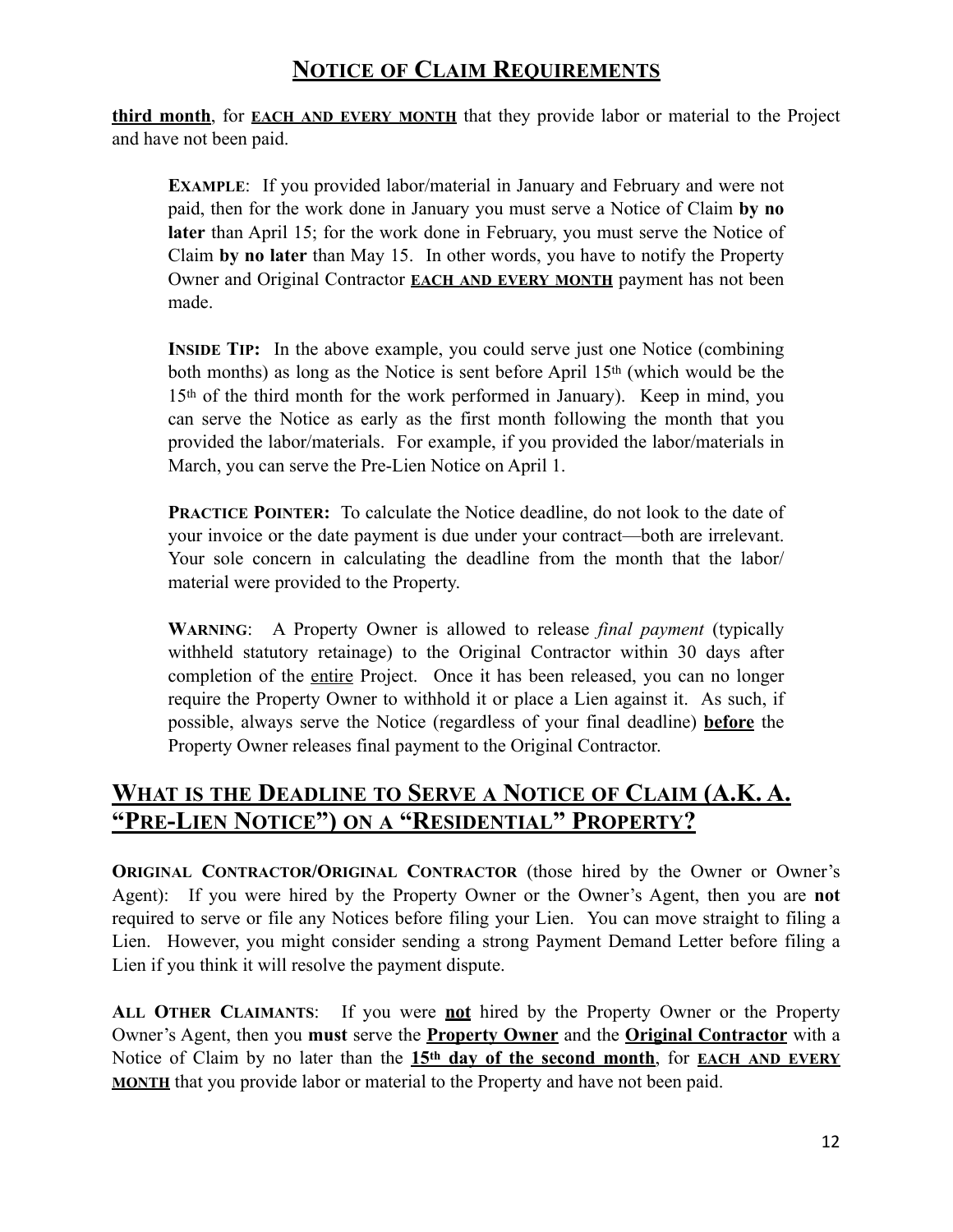**third month**, for **EACH AND EVERY MONTH** that they provide labor or material to the Project and have not been paid.

**EXAMPLE:** If you provided labor/material in January and February and were not paid, then for the work done in January you must serve a Notice of Claim **by no later** than April 15; for the work done in February, you must serve the Notice of Claim **by no later** than May 15. In other words, you have to notify the Property Owner and Original Contractor **EACH AND EVERY MONTH** payment has not been made.

**INSIDE TIP:** In the above example, you could serve just one Notice (combining) both months) as long as the Notice is sent before April 15th (which would be the 15th of the third month for the work performed in January). Keep in mind, you can serve the Notice as early as the first month following the month that you provided the labor/materials. For example, if you provided the labor/materials in March, you can serve the Pre-Lien Notice on April 1.

**PRACTICE POINTER:** To calculate the Notice deadline, do not look to the date of your invoice or the date payment is due under your contract—both are irrelevant. Your sole concern in calculating the deadline from the month that the labor/ material were provided to the Property.

**WARNING**: A Property Owner is allowed to release *final payment* (typically withheld statutory retainage) to the Original Contractor within 30 days after completion of the entire Project. Once it has been released, you can no longer require the Property Owner to withhold it or place a Lien against it. As such, if possible, always serve the Notice (regardless of your final deadline) **before** the Property Owner releases final payment to the Original Contractor.

#### **WHAT IS THE DEADLINE TO SERVE A NOTICE OF CLAIM (A.K. A. "PRE-LIEN NOTICE") ON A "RESIDENTIAL" PROPERTY?**

**ORIGINAL CONTRACTOR/ORIGINAL CONTRACTOR** (those hired by the Owner or Owner's Agent): If you were hired by the Property Owner or the Owner's Agent, then you are **not** required to serve or file any Notices before filing your Lien. You can move straight to filing a Lien. However, you might consider sending a strong Payment Demand Letter before filing a Lien if you think it will resolve the payment dispute.

**ALL OTHER CLAIMANTS**:If you were **not** hired by the Property Owner or the Property Owner's Agent, then you **must** serve the **Property Owner** and the **Original Contractor** with a Notice of Claim by no later than the **15th day of the second month**, for **EACH AND EVERY MONTH** that you provide labor or material to the Property and have not been paid.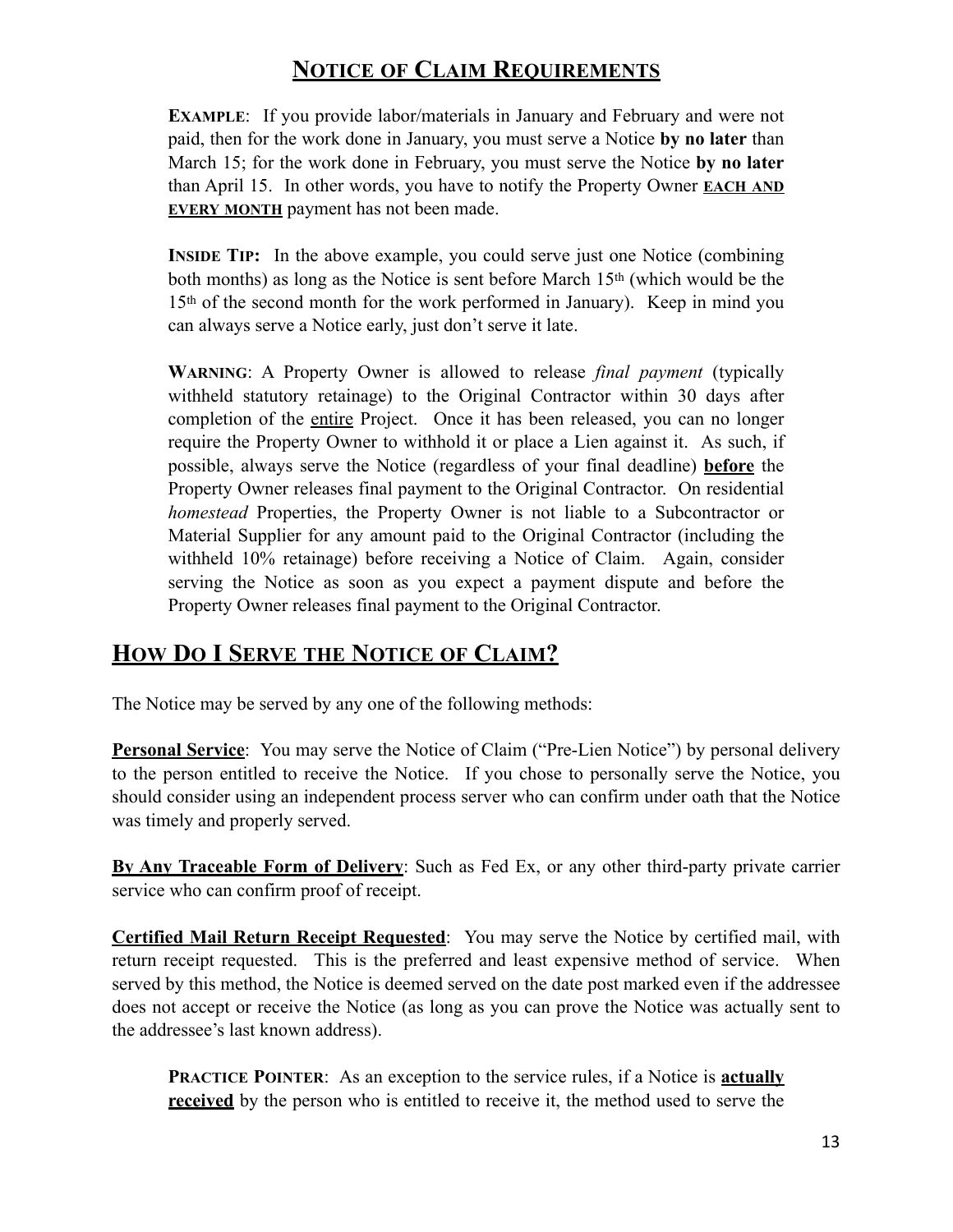**EXAMPLE**: If you provide labor/materials in January and February and were not paid, then for the work done in January, you must serve a Notice **by no later** than March 15; for the work done in February, you must serve the Notice **by no later** than April 15. In other words, you have to notify the Property Owner **EACH AND EVERY MONTH** payment has not been made.

**INSIDE TIP:** In the above example, you could serve just one Notice (combining both months) as long as the Notice is sent before March 15th (which would be the 15th of the second month for the work performed in January). Keep in mind you can always serve a Notice early, just don't serve it late.

**WARNING**: A Property Owner is allowed to release *final payment* (typically withheld statutory retainage) to the Original Contractor within 30 days after completion of the entire Project. Once it has been released, you can no longer require the Property Owner to withhold it or place a Lien against it. As such, if possible, always serve the Notice (regardless of your final deadline) **before** the Property Owner releases final payment to the Original Contractor. On residential *homestead* Properties, the Property Owner is not liable to a Subcontractor or Material Supplier for any amount paid to the Original Contractor (including the withheld 10% retainage) before receiving a Notice of Claim. Again, consider serving the Notice as soon as you expect a payment dispute and before the Property Owner releases final payment to the Original Contractor.

#### **HOW DO I SERVE THE NOTICE OF CLAIM?**

The Notice may be served by any one of the following methods:

**Personal Service**: You may serve the Notice of Claim ("Pre-Lien Notice") by personal delivery to the person entitled to receive the Notice. If you chose to personally serve the Notice, you should consider using an independent process server who can confirm under oath that the Notice was timely and properly served.

**By Any Traceable Form of Delivery**: Such as Fed Ex, or any other third-party private carrier service who can confirm proof of receipt.

**Certified Mail Return Receipt Requested**: You may serve the Notice by certified mail, with return receipt requested. This is the preferred and least expensive method of service. When served by this method, the Notice is deemed served on the date post marked even if the addressee does not accept or receive the Notice (as long as you can prove the Notice was actually sent to the addressee's last known address).

**PRACTICE POINTER:** As an exception to the service rules, if a Notice is **actually received** by the person who is entitled to receive it, the method used to serve the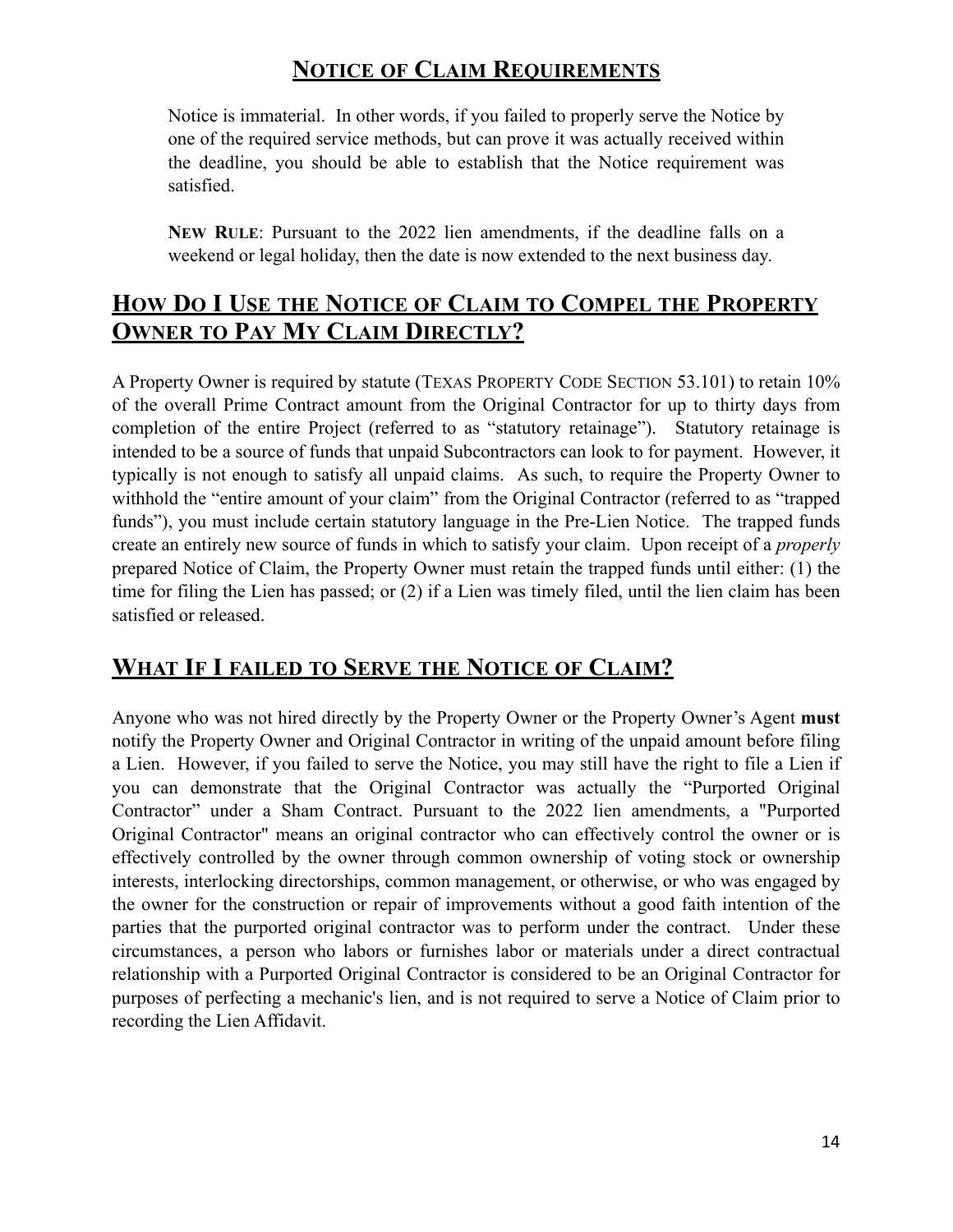Notice is immaterial. In other words, if you failed to properly serve the Notice by one of the required service methods, but can prove it was actually received within the deadline, you should be able to establish that the Notice requirement was satisfied.

**NEW RULE**: Pursuant to the 2022 lien amendments, if the deadline falls on a weekend or legal holiday, then the date is now extended to the next business day.

#### **HOW DO I USE THE NOTICE OF CLAIM TO COMPEL THE PROPERTY OWNER TO PAY MY CLAIM DIRECTLY?**

A Property Owner is required by statute (TEXAS PROPERTY CODE SECTION 53.101) to retain 10% of the overall Prime Contract amount from the Original Contractor for up to thirty days from completion of the entire Project (referred to as "statutory retainage"). Statutory retainage is intended to be a source of funds that unpaid Subcontractors can look to for payment. However, it typically is not enough to satisfy all unpaid claims. As such, to require the Property Owner to withhold the "entire amount of your claim" from the Original Contractor (referred to as "trapped funds"), you must include certain statutory language in the Pre-Lien Notice. The trapped funds create an entirely new source of funds in which to satisfy your claim. Upon receipt of a *properly*  prepared Notice of Claim, the Property Owner must retain the trapped funds until either: (1) the time for filing the Lien has passed; or (2) if a Lien was timely filed, until the lien claim has been satisfied or released.

#### **WHAT IF I FAILED TO SERVE THE NOTICE OF CLAIM?**

Anyone who was not hired directly by the Property Owner or the Property Owner's Agent **must** notify the Property Owner and Original Contractor in writing of the unpaid amount before filing a Lien. However, if you failed to serve the Notice, you may still have the right to file a Lien if you can demonstrate that the Original Contractor was actually the "Purported Original Contractor" under a Sham Contract. Pursuant to the 2022 lien amendments, a "Purported Original Contractor" means an original contractor who can effectively control the owner or is effectively controlled by the owner through common ownership of voting stock or ownership interests, interlocking directorships, common management, or otherwise, or who was engaged by the owner for the construction or repair of improvements without a good faith intention of the parties that the purported original contractor was to perform under the contract. Under these circumstances, a person who labors or furnishes labor or materials under a direct contractual relationship with a Purported Original Contractor is considered to be an Original Contractor for purposes of perfecting a mechanic's lien, and is not required to serve a Notice of Claim prior to recording the Lien Affidavit.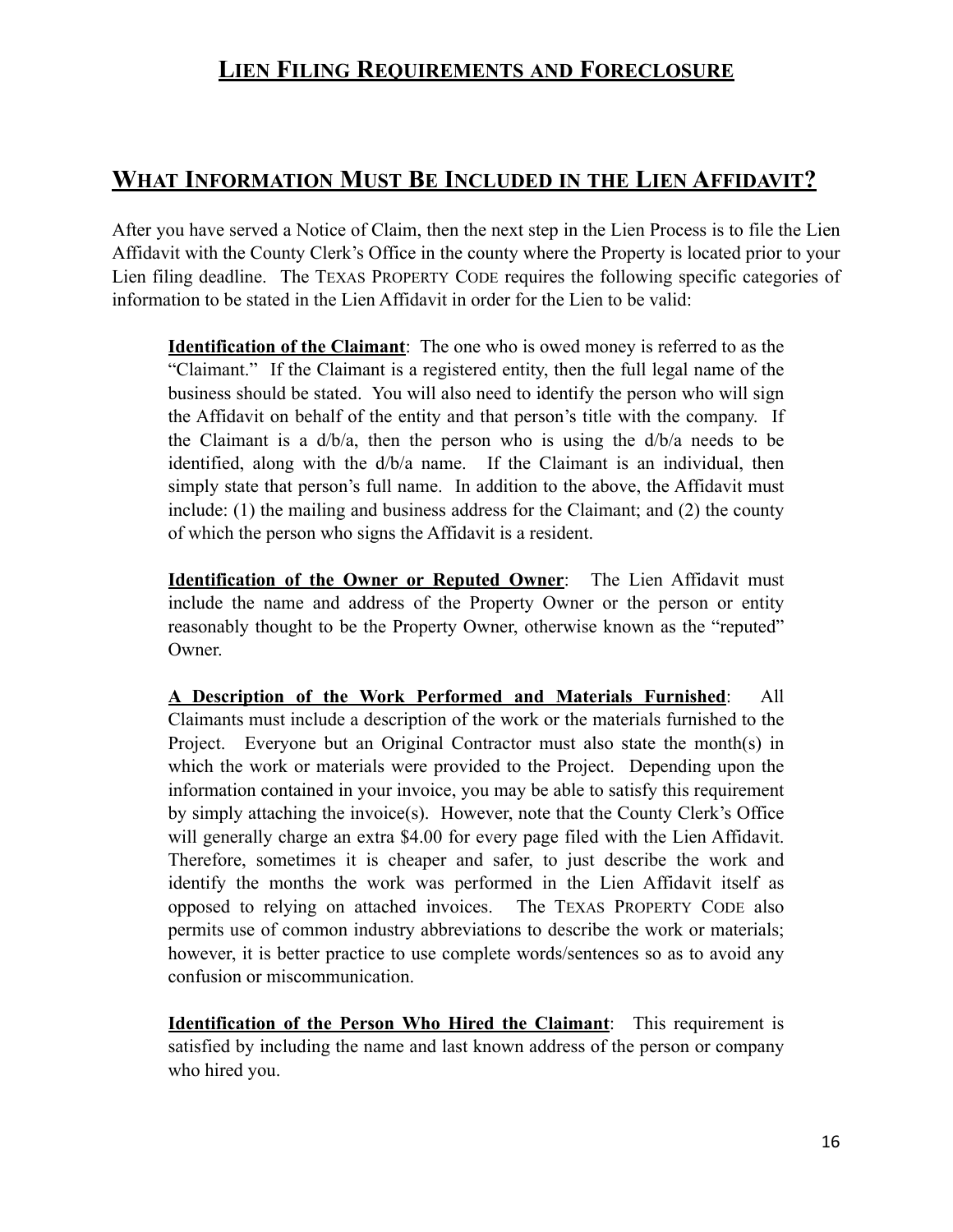#### **WHAT INFORMATION MUST BE INCLUDED IN THE LIEN AFFIDAVIT?**

After you have served a Notice of Claim, then the next step in the Lien Process is to file the Lien Affidavit with the County Clerk's Office in the county where the Property is located prior to your Lien filing deadline. The TEXAS PROPERTY CODE requires the following specific categories of information to be stated in the Lien Affidavit in order for the Lien to be valid:

**Identification of the Claimant**: The one who is owed money is referred to as the "Claimant." If the Claimant is a registered entity, then the full legal name of the business should be stated. You will also need to identify the person who will sign the Affidavit on behalf of the entity and that person's title with the company. If the Claimant is a  $d/b/a$ , then the person who is using the  $d/b/a$  needs to be identified, along with the d/b/a name. If the Claimant is an individual, then simply state that person's full name. In addition to the above, the Affidavit must include: (1) the mailing and business address for the Claimant; and (2) the county of which the person who signs the Affidavit is a resident.

**Identification of the Owner or Reputed Owner**: The Lien Affidavit must include the name and address of the Property Owner or the person or entity reasonably thought to be the Property Owner, otherwise known as the "reputed" Owner.

**A Description of the Work Performed and Materials Furnished**: All Claimants must include a description of the work or the materials furnished to the Project. Everyone but an Original Contractor must also state the month(s) in which the work or materials were provided to the Project. Depending upon the information contained in your invoice, you may be able to satisfy this requirement by simply attaching the invoice(s). However, note that the County Clerk's Office will generally charge an extra \$4.00 for every page filed with the Lien Affidavit. Therefore, sometimes it is cheaper and safer, to just describe the work and identify the months the work was performed in the Lien Affidavit itself as opposed to relying on attached invoices. The TEXAS PROPERTY CODE also permits use of common industry abbreviations to describe the work or materials; however, it is better practice to use complete words/sentences so as to avoid any confusion or miscommunication.

**Identification of the Person Who Hired the Claimant**: This requirement is satisfied by including the name and last known address of the person or company who hired you.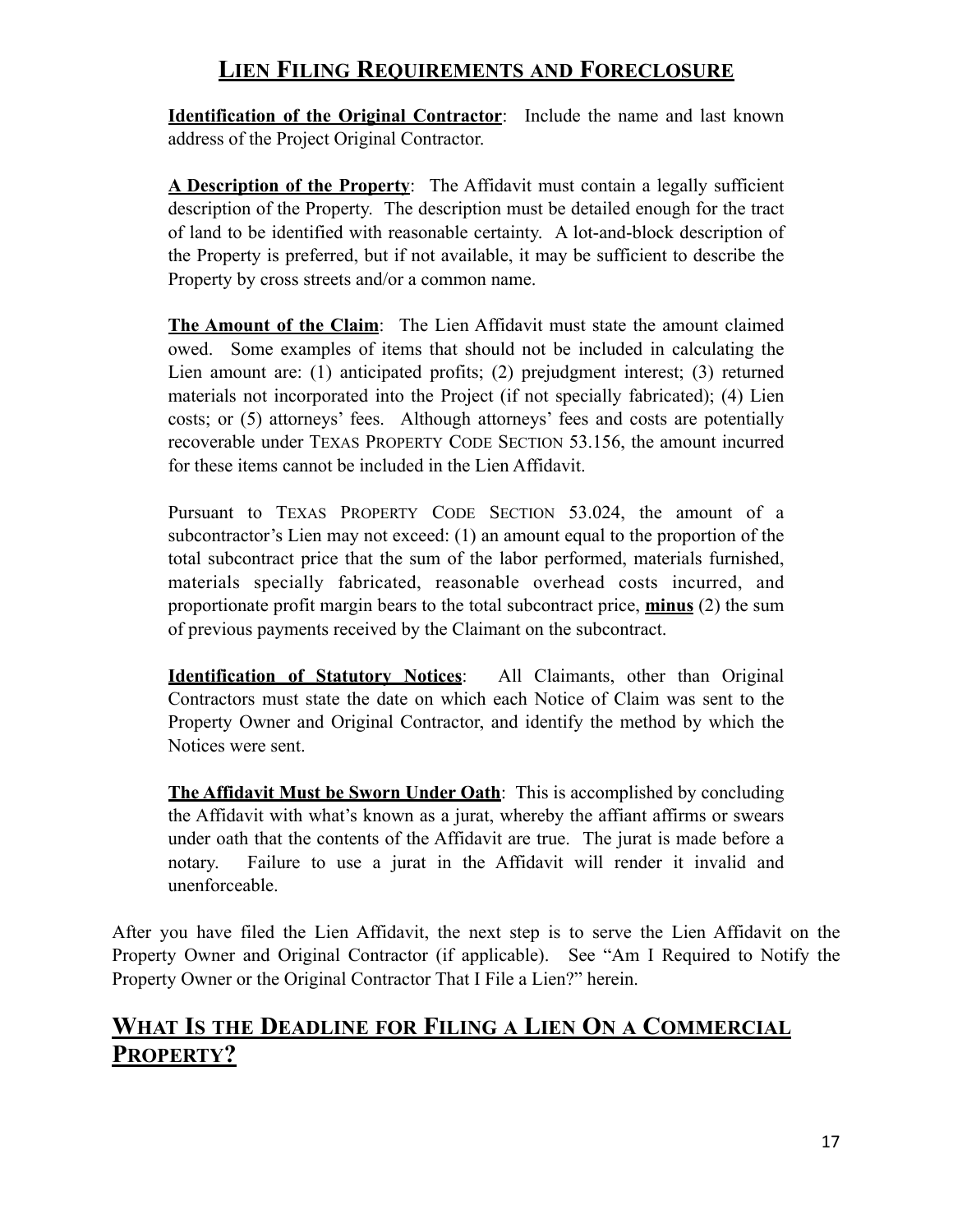**Identification of the Original Contractor**: Include the name and last known address of the Project Original Contractor.

**A Description of the Property**: The Affidavit must contain a legally sufficient description of the Property. The description must be detailed enough for the tract of land to be identified with reasonable certainty. A lot-and-block description of the Property is preferred, but if not available, it may be sufficient to describe the Property by cross streets and/or a common name.

**The Amount of the Claim**: The Lien Affidavit must state the amount claimed owed. Some examples of items that should not be included in calculating the Lien amount are: (1) anticipated profits; (2) prejudgment interest; (3) returned materials not incorporated into the Project (if not specially fabricated); (4) Lien costs; or (5) attorneys' fees. Although attorneys' fees and costs are potentially recoverable under TEXAS PROPERTY CODE SECTION 53.156, the amount incurred for these items cannot be included in the Lien Affidavit.

Pursuant to TEXAS PROPERTY CODE SECTION 53.024, the amount of a subcontractor's Lien may not exceed: (1) an amount equal to the proportion of the total subcontract price that the sum of the labor performed, materials furnished, materials specially fabricated, reasonable overhead costs incurred, and proportionate profit margin bears to the total subcontract price, **minus** (2) the sum of previous payments received by the Claimant on the subcontract.

**Identification of Statutory Notices**: All Claimants, other than Original Contractors must state the date on which each Notice of Claim was sent to the Property Owner and Original Contractor, and identify the method by which the Notices were sent.

**The Affidavit Must be Sworn Under Oath**: This is accomplished by concluding the Affidavit with what's known as a jurat, whereby the affiant affirms or swears under oath that the contents of the Affidavit are true. The jurat is made before a notary. Failure to use a jurat in the Affidavit will render it invalid and unenforceable.

After you have filed the Lien Affidavit, the next step is to serve the Lien Affidavit on the Property Owner and Original Contractor (if applicable). See "Am I Required to Notify the Property Owner or the Original Contractor That I File a Lien?" herein.

#### **WHAT IS THE DEADLINE FOR FILING A LIEN ON A COMMERCIAL PROPERTY?**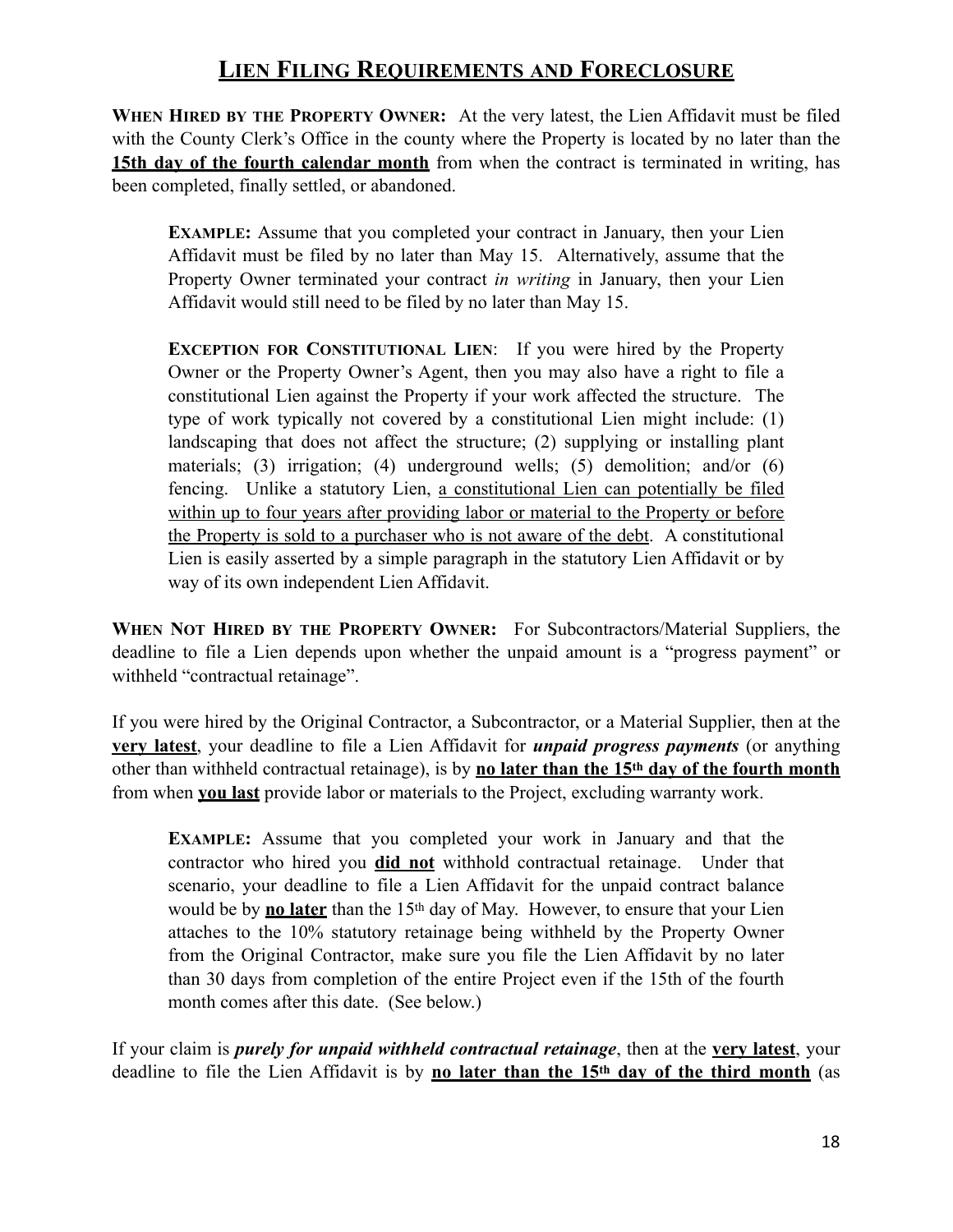**WHEN HIRED BY THE PROPERTY OWNER:** At the very latest, the Lien Affidavit must be filed with the County Clerk's Office in the county where the Property is located by no later than the **15th day of the fourth calendar month** from when the contract is terminated in writing, has been completed, finally settled, or abandoned.

**EXAMPLE:** Assume that you completed your contract in January, then your Lien Affidavit must be filed by no later than May 15. Alternatively, assume that the Property Owner terminated your contract *in writing* in January, then your Lien Affidavit would still need to be filed by no later than May 15.

**EXCEPTION FOR CONSTITUTIONAL LIEN**: If you were hired by the Property Owner or the Property Owner's Agent, then you may also have a right to file a constitutional Lien against the Property if your work affected the structure. The type of work typically not covered by a constitutional Lien might include: (1) landscaping that does not affect the structure; (2) supplying or installing plant materials; (3) irrigation; (4) underground wells; (5) demolition; and/or (6) fencing. Unlike a statutory Lien, a constitutional Lien can potentially be filed within up to four years after providing labor or material to the Property or before the Property is sold to a purchaser who is not aware of the debt. A constitutional Lien is easily asserted by a simple paragraph in the statutory Lien Affidavit or by way of its own independent Lien Affidavit.

**WHEN NOT HIRED BY THE PROPERTY OWNER:** For Subcontractors/Material Suppliers, the deadline to file a Lien depends upon whether the unpaid amount is a "progress payment" or withheld "contractual retainage".

If you were hired by the Original Contractor, a Subcontractor, or a Material Supplier, then at the **very latest**, your deadline to file a Lien Affidavit for *unpaid progress payments* (or anything other than withheld contractual retainage), is by **no later than the 15th day of the fourth month** from when **you last** provide labor or materials to the Project, excluding warranty work.

**EXAMPLE:** Assume that you completed your work in January and that the contractor who hired you **did not** withhold contractual retainage. Under that scenario, your deadline to file a Lien Affidavit for the unpaid contract balance would be by **no later** than the 15th day of May. However, to ensure that your Lien attaches to the 10% statutory retainage being withheld by the Property Owner from the Original Contractor, make sure you file the Lien Affidavit by no later than 30 days from completion of the entire Project even if the 15th of the fourth month comes after this date. (See below.)

If your claim is *purely for unpaid withheld contractual retainage*, then at the **very latest**, your deadline to file the Lien Affidavit is by **no later than the 15th day of the third month** (as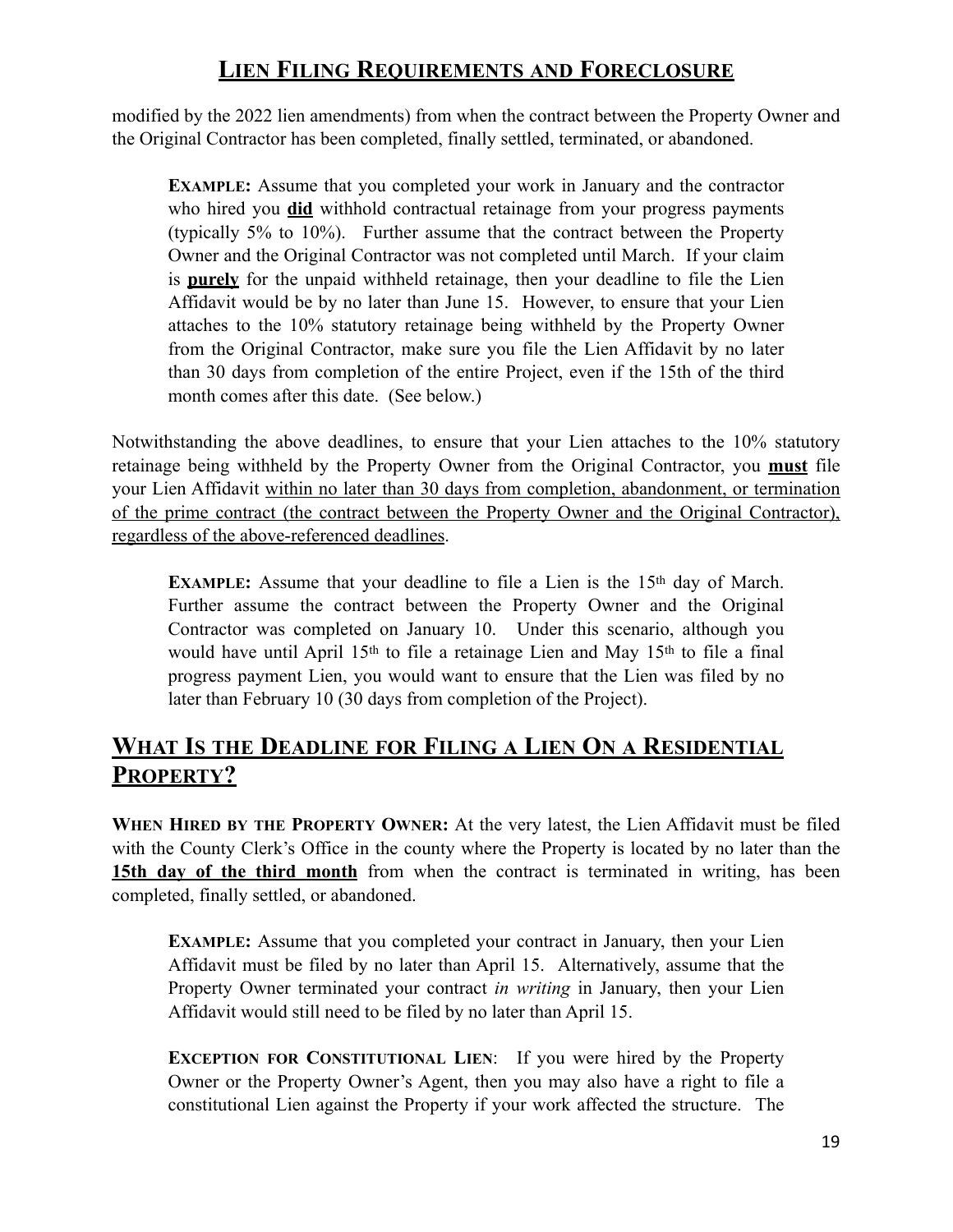modified by the 2022 lien amendments) from when the contract between the Property Owner and the Original Contractor has been completed, finally settled, terminated, or abandoned.

**EXAMPLE:** Assume that you completed your work in January and the contractor who hired you **did** withhold contractual retainage from your progress payments (typically 5% to 10%). Further assume that the contract between the Property Owner and the Original Contractor was not completed until March. If your claim is **purely** for the unpaid withheld retainage, then your deadline to file the Lien Affidavit would be by no later than June 15. However, to ensure that your Lien attaches to the 10% statutory retainage being withheld by the Property Owner from the Original Contractor, make sure you file the Lien Affidavit by no later than 30 days from completion of the entire Project, even if the 15th of the third month comes after this date. (See below.)

Notwithstanding the above deadlines, to ensure that your Lien attaches to the 10% statutory retainage being withheld by the Property Owner from the Original Contractor, you **must** file your Lien Affidavit within no later than 30 days from completion, abandonment, or termination of the prime contract (the contract between the Property Owner and the Original Contractor), regardless of the above-referenced deadlines.

**EXAMPLE:** Assume that your deadline to file a Lien is the 15<sup>th</sup> day of March. Further assume the contract between the Property Owner and the Original Contractor was completed on January 10. Under this scenario, although you would have until April 15th to file a retainage Lien and May 15th to file a final progress payment Lien, you would want to ensure that the Lien was filed by no later than February 10 (30 days from completion of the Project).

#### **WHAT IS THE DEADLINE FOR FILING A LIEN ON A RESIDENTIAL PROPERTY?**

**WHEN HIRED BY THE PROPERTY OWNER:** At the very latest, the Lien Affidavit must be filed with the County Clerk's Office in the county where the Property is located by no later than the **15th day of the third month** from when the contract is terminated in writing, has been completed, finally settled, or abandoned.

**EXAMPLE:** Assume that you completed your contract in January, then your Lien Affidavit must be filed by no later than April 15. Alternatively, assume that the Property Owner terminated your contract *in writing* in January, then your Lien Affidavit would still need to be filed by no later than April 15.

**EXCEPTION FOR CONSTITUTIONAL LIEN**: If you were hired by the Property Owner or the Property Owner's Agent, then you may also have a right to file a constitutional Lien against the Property if your work affected the structure. The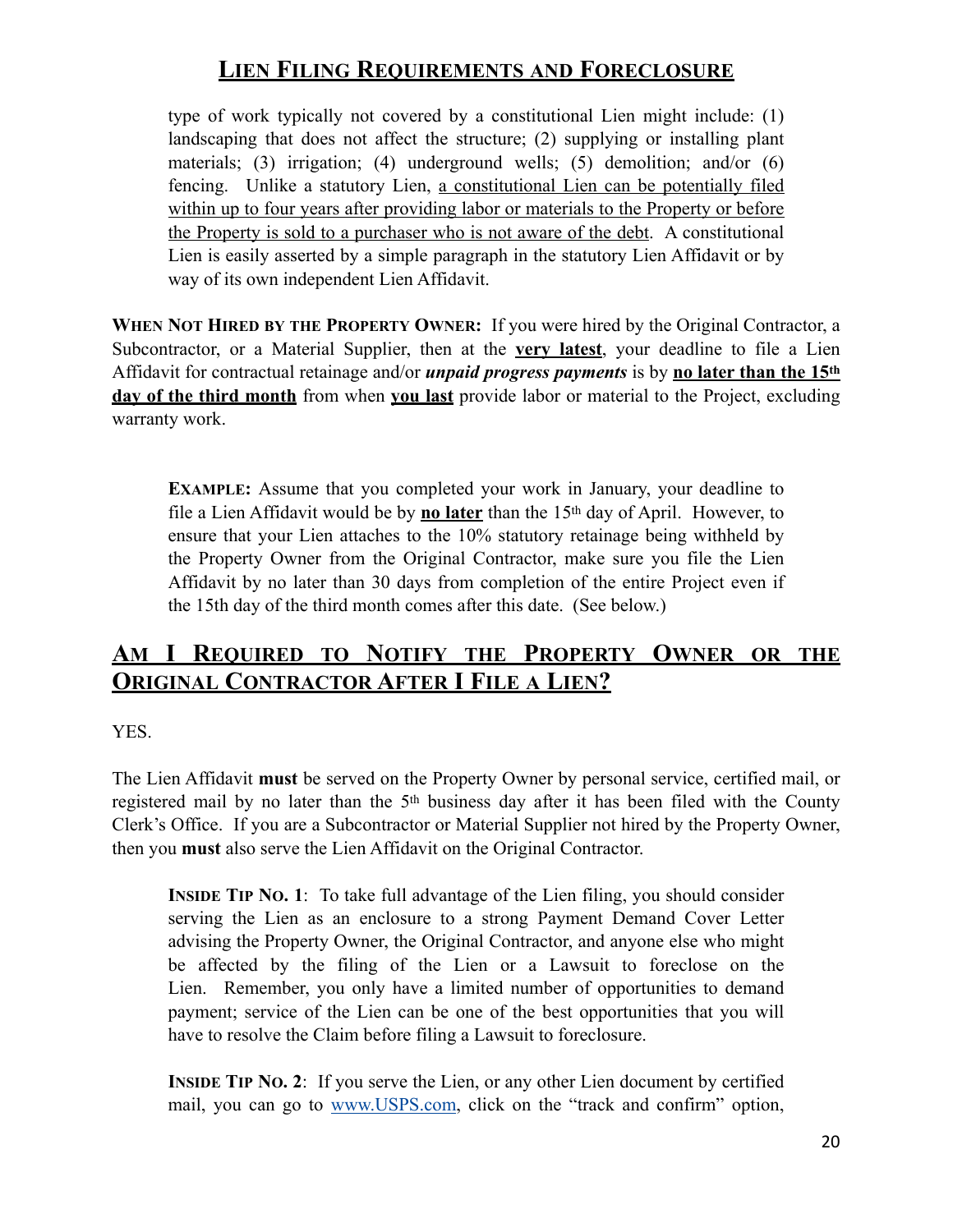type of work typically not covered by a constitutional Lien might include: (1) landscaping that does not affect the structure; (2) supplying or installing plant materials; (3) irrigation; (4) underground wells; (5) demolition; and/or (6) fencing. Unlike a statutory Lien, a constitutional Lien can be potentially filed within up to four years after providing labor or materials to the Property or before the Property is sold to a purchaser who is not aware of the debt. A constitutional Lien is easily asserted by a simple paragraph in the statutory Lien Affidavit or by way of its own independent Lien Affidavit.

**WHEN NOT HIRED BY THE PROPERTY OWNER:** If you were hired by the Original Contractor, a Subcontractor, or a Material Supplier, then at the **very latest**, your deadline to file a Lien Affidavit for contractual retainage and/or *unpaid progress payments* is by **no later than the 15th day of the third month** from when **you last** provide labor or material to the Project, excluding warranty work.

**EXAMPLE:** Assume that you completed your work in January, your deadline to file a Lien Affidavit would be by **no later** than the 15th day of April. However, to ensure that your Lien attaches to the 10% statutory retainage being withheld by the Property Owner from the Original Contractor, make sure you file the Lien Affidavit by no later than 30 days from completion of the entire Project even if the 15th day of the third month comes after this date. (See below.)

#### **AM I REQUIRED TO NOTIFY THE PROPERTY OWNER OR THE ORIGINAL CONTRACTOR AFTER I FILE A LIEN?**

YES.

The Lien Affidavit **must** be served on the Property Owner by personal service, certified mail, or registered mail by no later than the 5th business day after it has been filed with the County Clerk's Office. If you are a Subcontractor or Material Supplier not hired by the Property Owner, then you **must** also serve the Lien Affidavit on the Original Contractor.

**INSIDE TIP NO. 1:** To take full advantage of the Lien filing, you should consider serving the Lien as an enclosure to a strong Payment Demand Cover Letter advising the Property Owner, the Original Contractor, and anyone else who might be affected by the filing of the Lien or a Lawsuit to foreclose on the Lien. Remember, you only have a limited number of opportunities to demand payment; service of the Lien can be one of the best opportunities that you will have to resolve the Claim before filing a Lawsuit to foreclosure.

**INSIDE TIP NO. 2:** If you serve the Lien, or any other Lien document by certified mail, you can go to [www.USPS.com](http://www.USPS.com), click on the "track and confirm" option,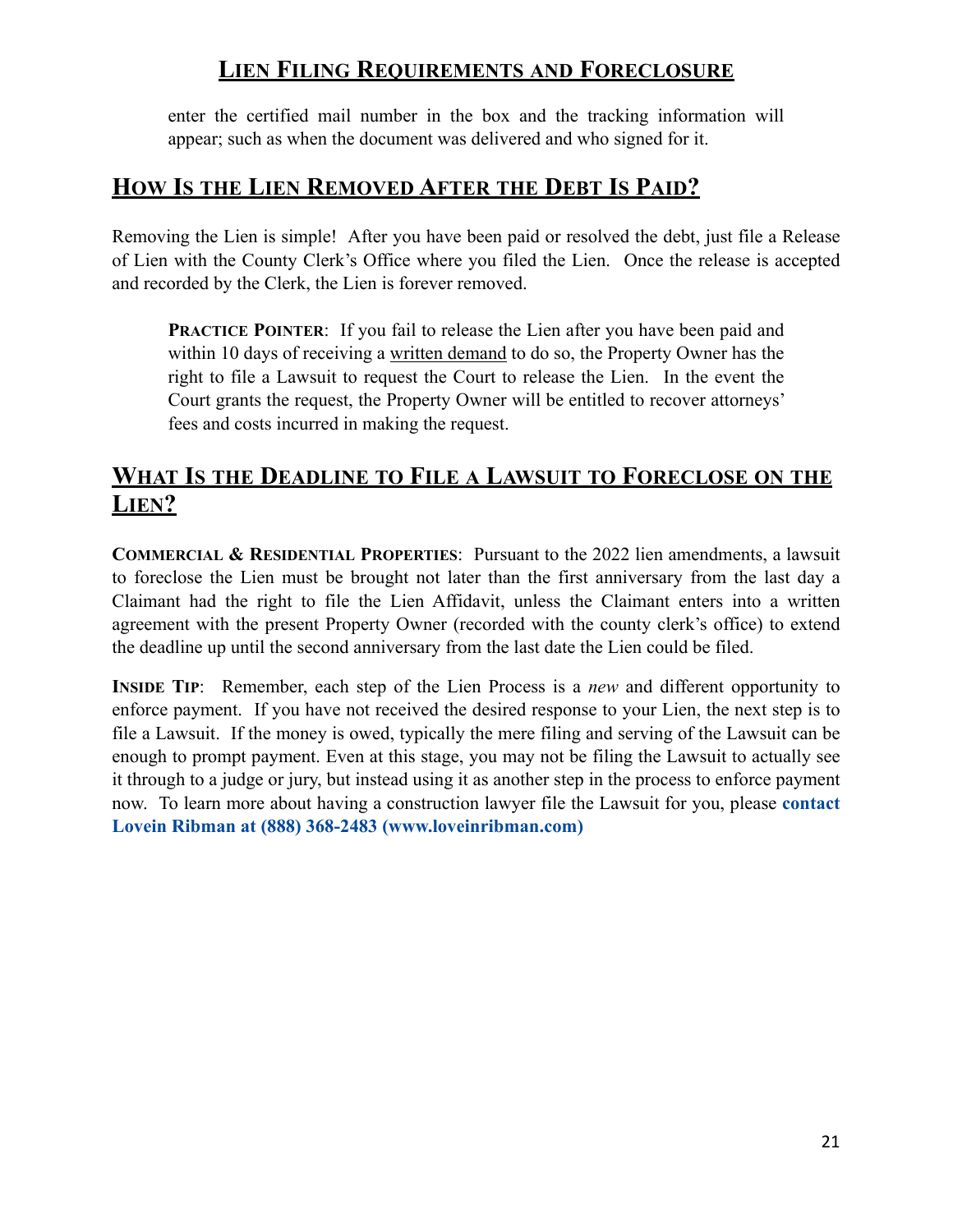enter the certified mail number in the box and the tracking information will appear; such as when the document was delivered and who signed for it.

#### **HOW IS THE LIEN REMOVED AFTER THE DEBT IS PAID?**

Removing the Lien is simple! After you have been paid or resolved the debt, just file a Release of Lien with the County Clerk's Office where you filed the Lien. Once the release is accepted and recorded by the Clerk, the Lien is forever removed.

**PRACTICE POINTER:** If you fail to release the Lien after you have been paid and within 10 days of receiving a written demand to do so, the Property Owner has the right to file a Lawsuit to request the Court to release the Lien. In the event the Court grants the request, the Property Owner will be entitled to recover attorneys' fees and costs incurred in making the request.

#### **WHAT IS THE DEADLINE TO FILE A LAWSUIT TO FORECLOSE ON THE LIEN?**

**COMMERCIAL & RESIDENTIAL PROPERTIES**: Pursuant to the 2022 lien amendments, a lawsuit to foreclose the Lien must be brought not later than the first anniversary from the last day a Claimant had the right to file the Lien Affidavit, unless the Claimant enters into a written agreement with the present Property Owner (recorded with the county clerk's office) to extend the deadline up until the second anniversary from the last date the Lien could be filed.

**INSIDE TIP**: Remember, each step of the Lien Process is a *new* and different opportunity to enforce payment. If you have not received the desired response to your Lien, the next step is to file a Lawsuit. If the money is owed, typically the mere filing and serving of the Lawsuit can be enough to prompt payment. Even at this stage, you may not be filing the Lawsuit to actually see it through to a judge or jury, but instead using it as another step in the process to enforce payment now. To learn more about having a construction lawyer file the Lawsuit for you, please **contact Lovein Ribman at (888) 368-2483 (www.loveinribman.com)**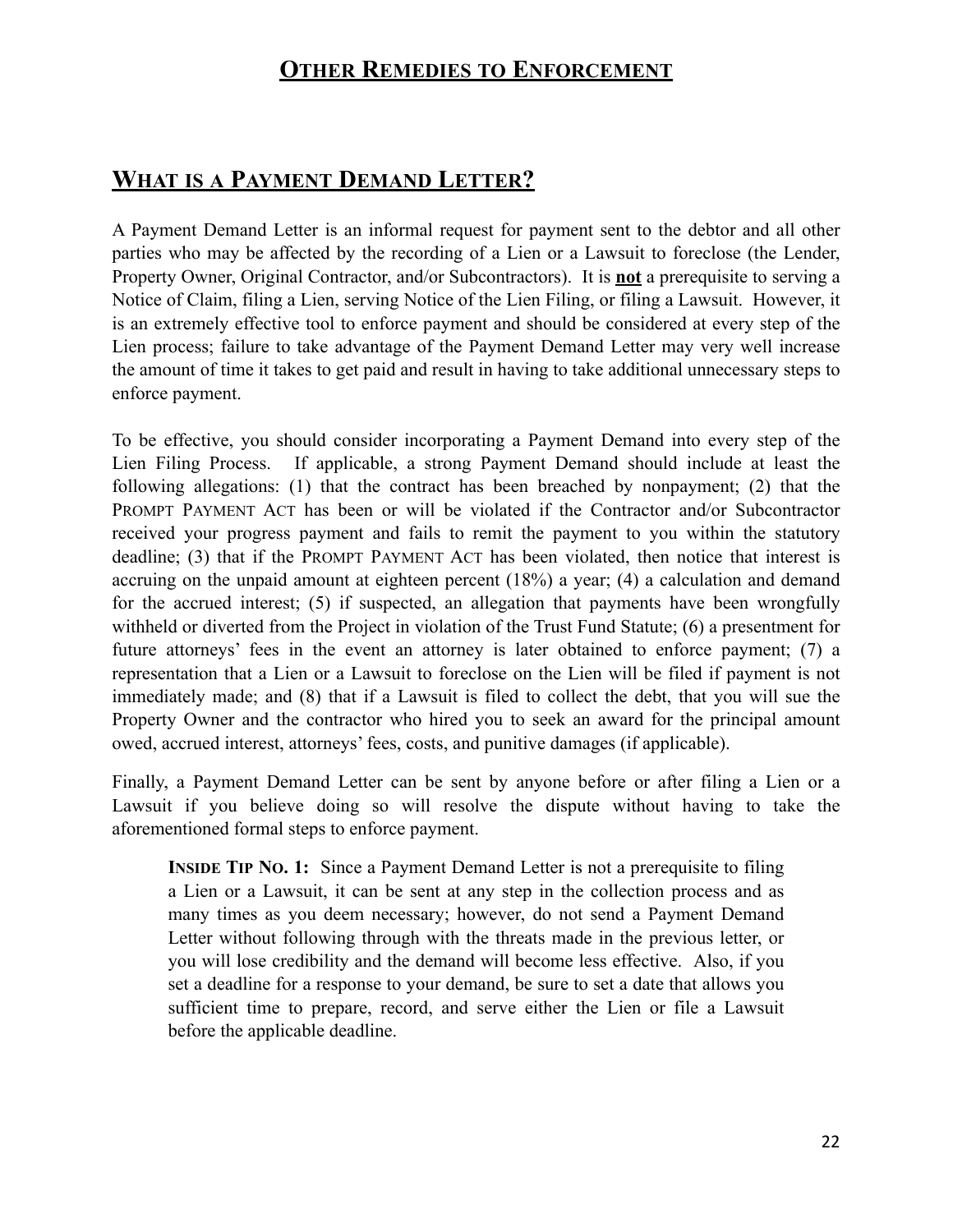#### **OTHER REMEDIES TO ENFORCEMENT**

#### **WHAT IS A PAYMENT DEMAND LETTER?**

A Payment Demand Letter is an informal request for payment sent to the debtor and all other parties who may be affected by the recording of a Lien or a Lawsuit to foreclose (the Lender, Property Owner, Original Contractor, and/or Subcontractors). It is **not** a prerequisite to serving a Notice of Claim, filing a Lien, serving Notice of the Lien Filing, or filing a Lawsuit. However, it is an extremely effective tool to enforce payment and should be considered at every step of the Lien process; failure to take advantage of the Payment Demand Letter may very well increase the amount of time it takes to get paid and result in having to take additional unnecessary steps to enforce payment.

To be effective, you should consider incorporating a Payment Demand into every step of the Lien Filing Process. If applicable, a strong Payment Demand should include at least the following allegations: (1) that the contract has been breached by nonpayment; (2) that the PROMPT PAYMENT ACT has been or will be violated if the Contractor and/or Subcontractor received your progress payment and fails to remit the payment to you within the statutory deadline; (3) that if the PROMPT PAYMENT ACT has been violated, then notice that interest is accruing on the unpaid amount at eighteen percent (18%) a year; (4) a calculation and demand for the accrued interest; (5) if suspected, an allegation that payments have been wrongfully withheld or diverted from the Project in violation of the Trust Fund Statute; (6) a presentment for future attorneys' fees in the event an attorney is later obtained to enforce payment; (7) a representation that a Lien or a Lawsuit to foreclose on the Lien will be filed if payment is not immediately made; and (8) that if a Lawsuit is filed to collect the debt, that you will sue the Property Owner and the contractor who hired you to seek an award for the principal amount owed, accrued interest, attorneys' fees, costs, and punitive damages (if applicable).

Finally, a Payment Demand Letter can be sent by anyone before or after filing a Lien or a Lawsuit if you believe doing so will resolve the dispute without having to take the aforementioned formal steps to enforce payment.

**INSIDE TIP NO. 1:** Since a Payment Demand Letter is not a prerequisite to filing a Lien or a Lawsuit, it can be sent at any step in the collection process and as many times as you deem necessary; however, do not send a Payment Demand Letter without following through with the threats made in the previous letter, or you will lose credibility and the demand will become less effective. Also, if you set a deadline for a response to your demand, be sure to set a date that allows you sufficient time to prepare, record, and serve either the Lien or file a Lawsuit before the applicable deadline.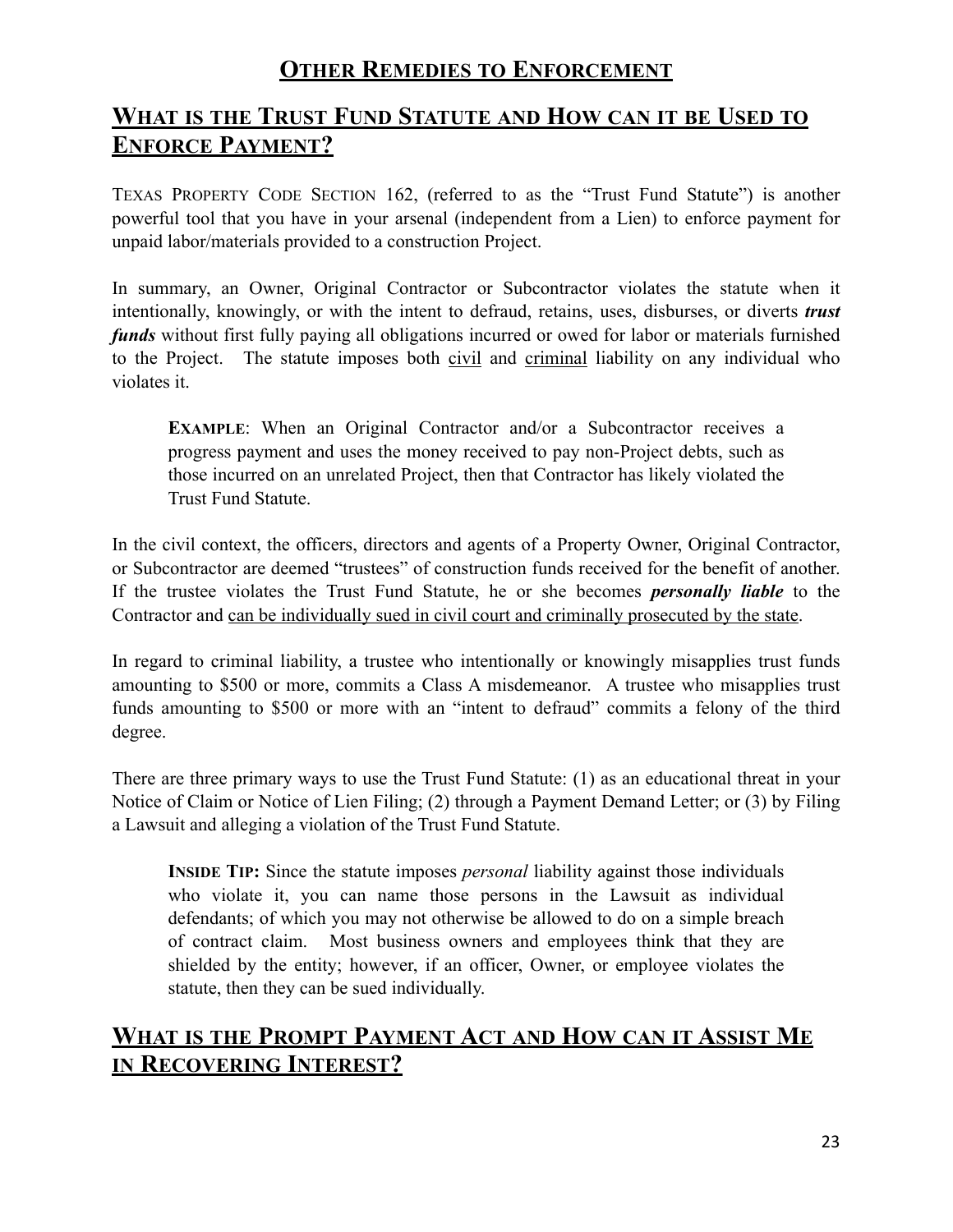#### **OTHER REMEDIES TO ENFORCEMENT**

#### **WHAT IS THE TRUST FUND STATUTE AND HOW CAN IT BE USED TO ENFORCE PAYMENT?**

TEXAS PROPERTY CODE SECTION 162, (referred to as the "Trust Fund Statute") is another powerful tool that you have in your arsenal (independent from a Lien) to enforce payment for unpaid labor/materials provided to a construction Project.

In summary, an Owner, Original Contractor or Subcontractor violates the statute when it intentionally, knowingly, or with the intent to defraud, retains, uses, disburses, or diverts *trust funds* without first fully paying all obligations incurred or owed for labor or materials furnished to the Project. The statute imposes both civil and criminal liability on any individual who violates it.

**EXAMPLE:** When an Original Contractor and/or a Subcontractor receives a progress payment and uses the money received to pay non-Project debts, such as those incurred on an unrelated Project, then that Contractor has likely violated the Trust Fund Statute.

In the civil context, the officers, directors and agents of a Property Owner, Original Contractor, or Subcontractor are deemed "trustees" of construction funds received for the benefit of another. If the trustee violates the Trust Fund Statute, he or she becomes *personally liable* to the Contractor and can be individually sued in civil court and criminally prosecuted by the state.

In regard to criminal liability, a trustee who intentionally or knowingly misapplies trust funds amounting to \$500 or more, commits a Class A misdemeanor. A trustee who misapplies trust funds amounting to \$500 or more with an "intent to defraud" commits a felony of the third degree.

There are three primary ways to use the Trust Fund Statute: (1) as an educational threat in your Notice of Claim or Notice of Lien Filing; (2) through a Payment Demand Letter; or (3) by Filing a Lawsuit and alleging a violation of the Trust Fund Statute.

**INSIDE TIP:** Since the statute imposes *personal* liability against those individuals who violate it, you can name those persons in the Lawsuit as individual defendants; of which you may not otherwise be allowed to do on a simple breach of contract claim. Most business owners and employees think that they are shielded by the entity; however, if an officer, Owner, or employee violates the statute, then they can be sued individually.

#### **WHAT IS THE PROMPT PAYMENT ACT AND HOW CAN IT ASSIST ME IN RECOVERING INTEREST?**